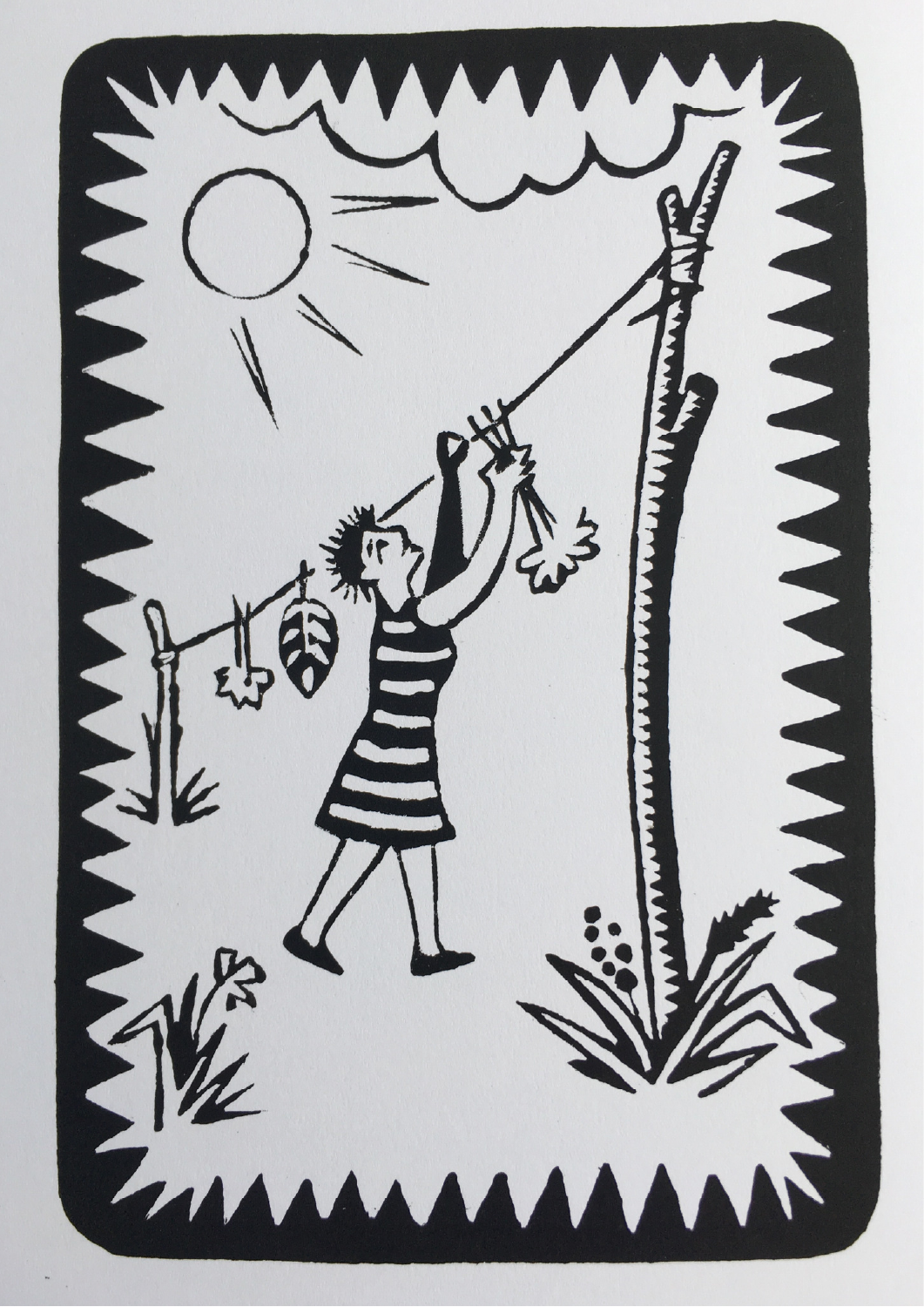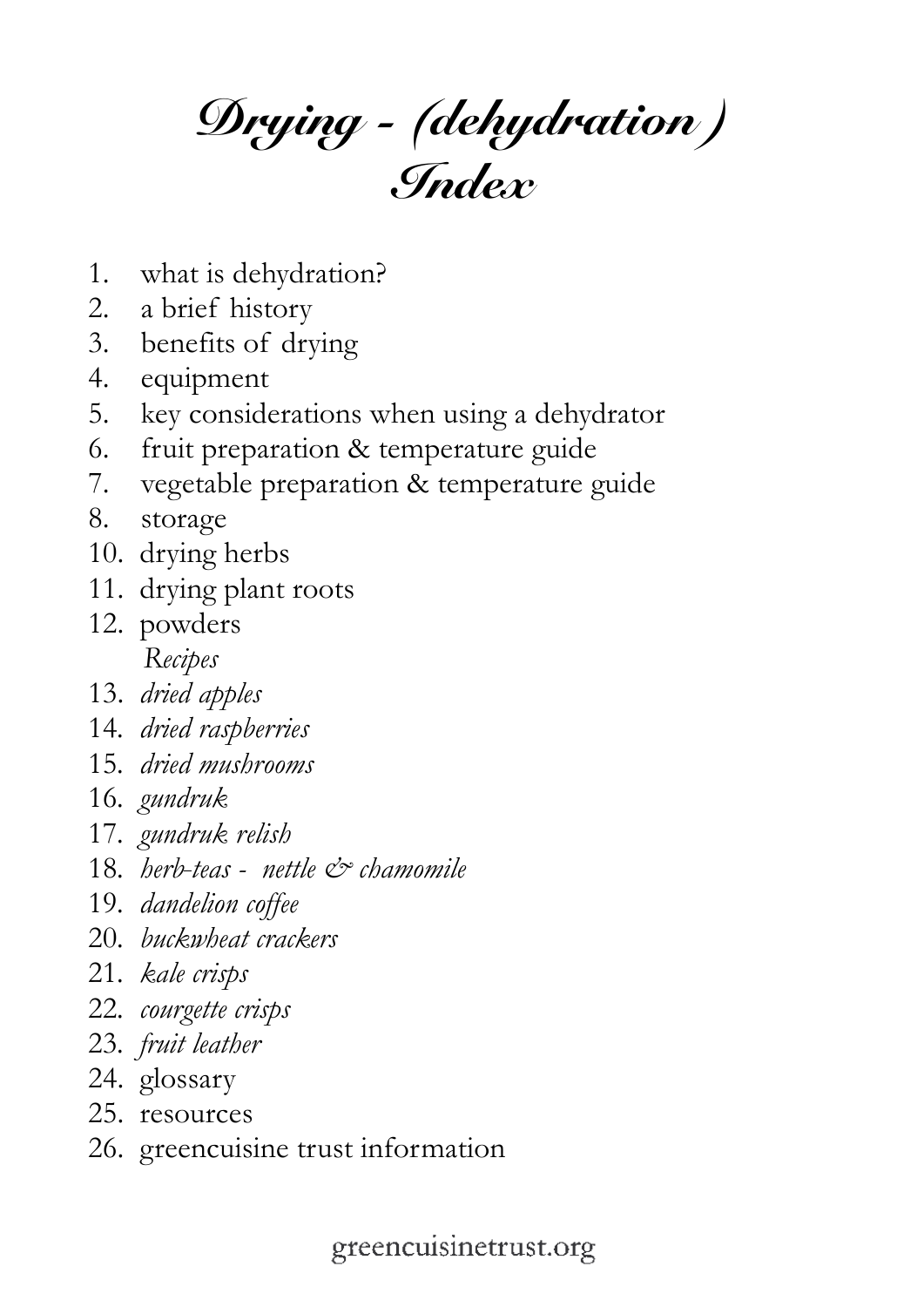Drying - (dehydration ) Index

- 1. what is dehydration?
- 2. a brief history
- 3. benefits of drying
- 4. equipment
- 5. key considerations when using a dehydrator
- 6. fruit preparation & temperature guide
- 7. vegetable preparation & temperature guide
- 8. storage
- 10. drying herbs
- 11. drying plant roots
- 12. powders Recipes
- 13. dried apples
- 14. dried raspberries
- 15. dried mushrooms
- 16. gundruk
- 17. gundruk relish
- 18. herb-teas nettle  $\mathcal{O}$  chamomile
- 19. dandelion coffee
- 20. buckwheat crackers
- 21. kale crisps
- 22. courgette crisps
- 23. fruit leather
- 24. glossary
- 25. resources
- 26. greencuisine trust information

greencuisinetrust.org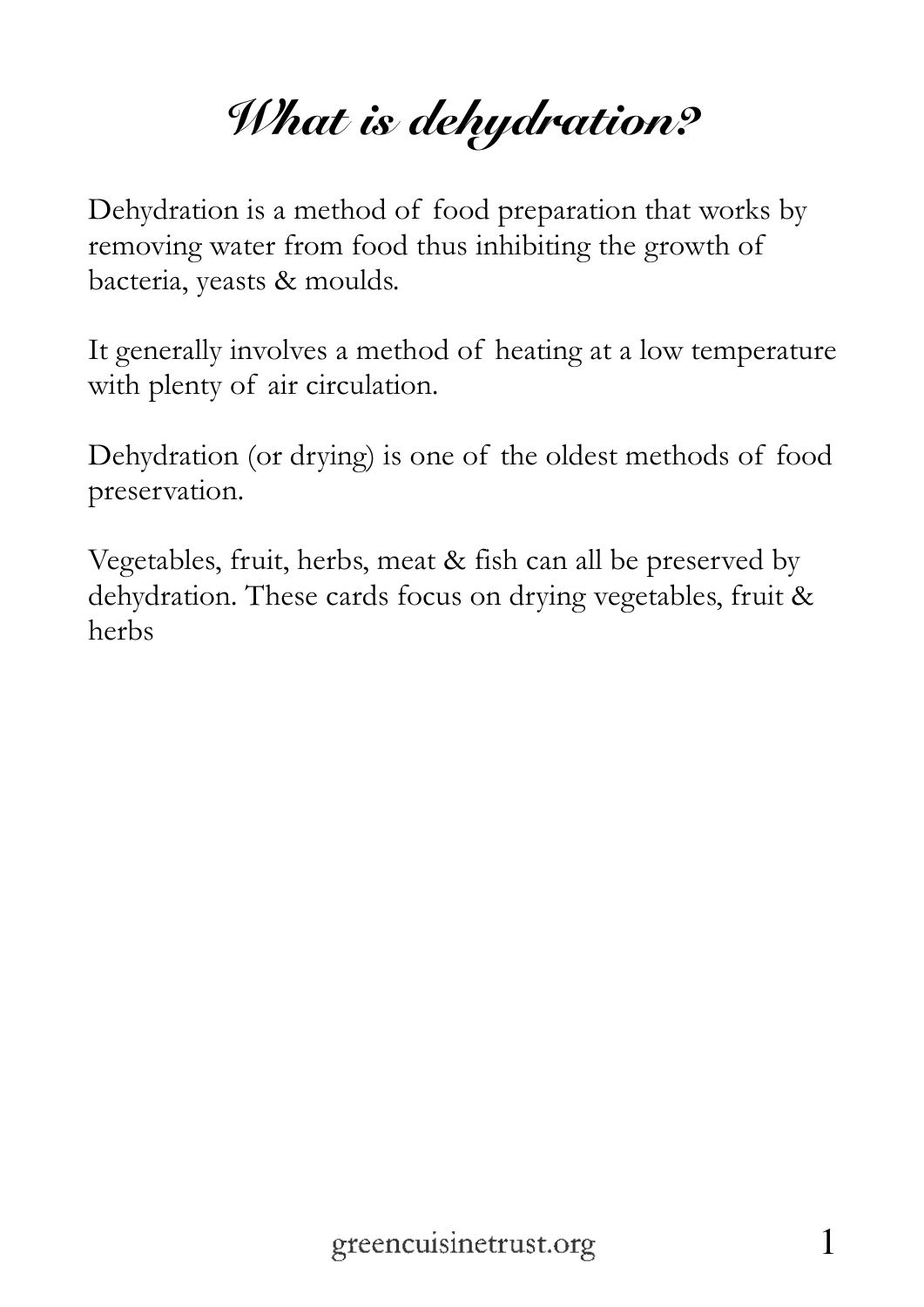# What is dehydration?

Dehydration is a method of food preparation that works by removing water from food thus inhibiting the growth of bacteria, yeasts & moulds.

It generally involves a method of heating at a low temperature with plenty of air circulation.

Dehydration (or drying) is one of the oldest methods of food preservation.

Vegetables, fruit, herbs, meat & fish can all be preserved by dehydration. These cards focus on drying vegetables, fruit & herbs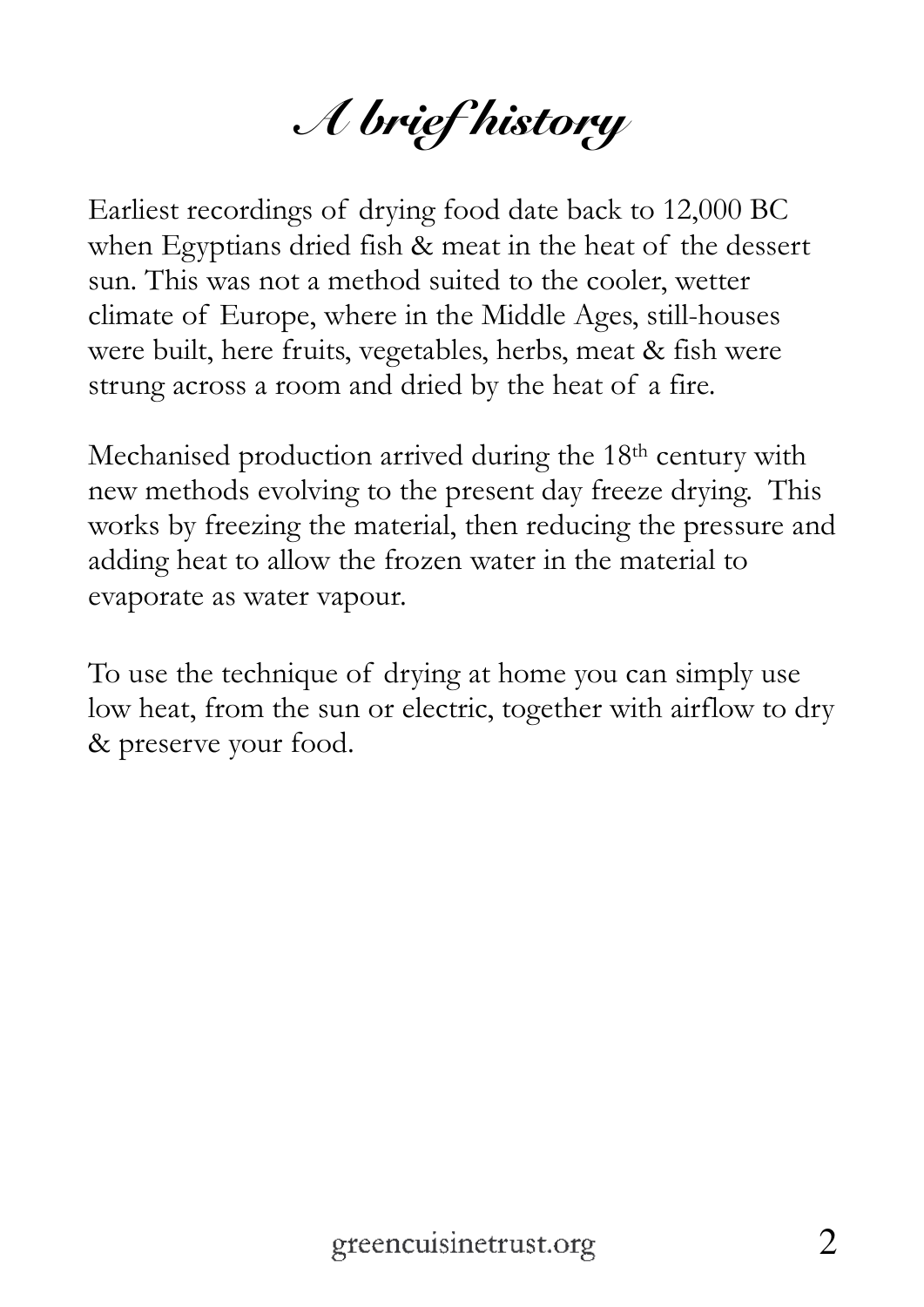A brief history

Earliest recordings of drying food date back to 12,000 BC when Egyptians dried fish & meat in the heat of the dessert sun. This was not a method suited to the cooler, wetter climate of Europe, where in the Middle Ages, still-houses were built, here fruits, vegetables, herbs, meat & fish were strung across a room and dried by the heat of a fire.

Mechanised production arrived during the 18th century with new methods evolving to the present day freeze drying. This works by freezing the material, then reducing the pressure and adding heat to allow the frozen water in the material to evaporate as water vapour.

To use the technique of drying at home you can simply use low heat, from the sun or electric, together with airflow to dry & preserve your food.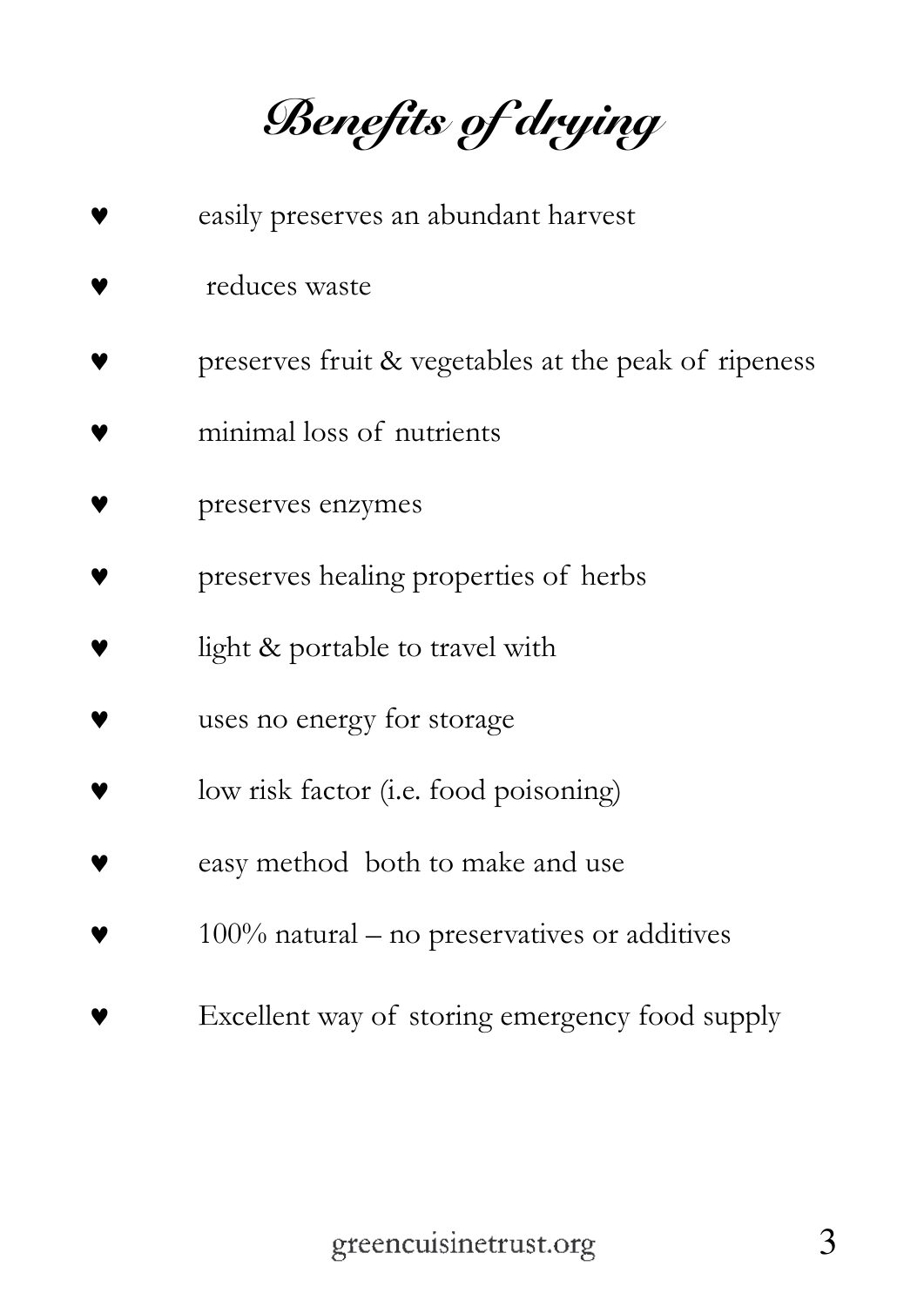Benefits of drying

- easily preserves an abundant harvest
- reduces waste
- preserves fruit & vegetables at the peak of ripeness
- minimal loss of nutrients
- preserves enzymes
- preserves healing properties of herbs
- light & portable to travel with
- uses no energy for storage
- low risk factor (i.e. food poisoning)
- easy method both to make and use
- $100\%$  natural no preservatives or additives
- Excellent way of storing emergency food supply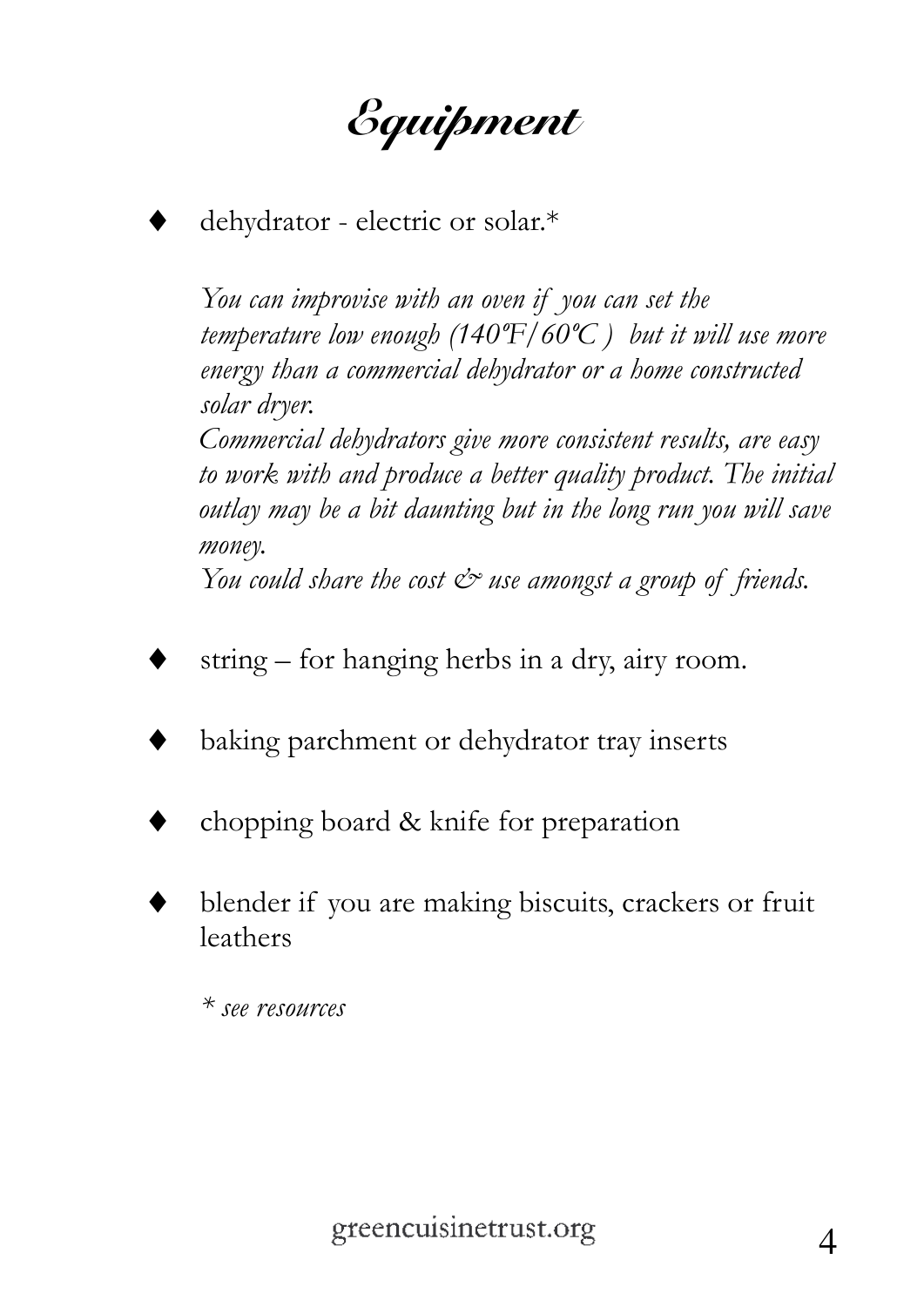Equipment

dehydrator - electric or solar.\*

You can improvise with an oven if you can set the temperature low enough  $(140^{\circ}F/60^{\circ}C)$  but it will use more energy than a commercial dehydrator or a home constructed solar dryer. Commercial dehydrators give more consistent results, are easy

to work with and produce a better quality product. The initial outlay may be a bit daunting but in the long run you will save money.

You could share the cost  $\dot{\mathcal{C}}$  use amongst a group of friends.

- $string for hanging herbs in a dry, airy room.$
- baking parchment or dehydrator tray inserts
- chopping board & knife for preparation
- blender if you are making biscuits, crackers or fruit leathers

\* see resources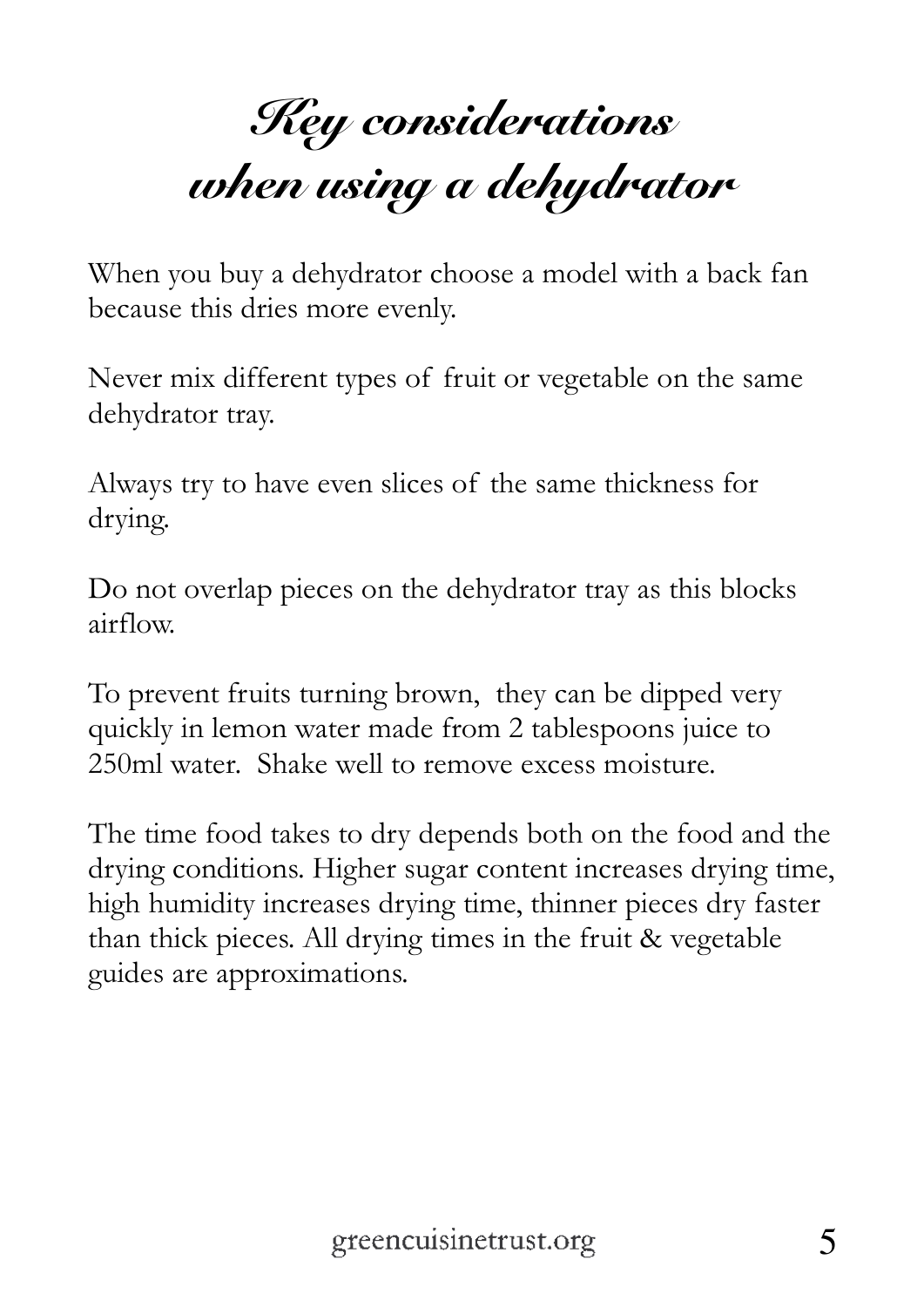# Key considerations when using a dehydrator

When you buy a dehydrator choose a model with a back fan because this dries more evenly.

Never mix different types of fruit or vegetable on the same dehydrator tray.

Always try to have even slices of the same thickness for drying.

Do not overlap pieces on the dehydrator tray as this blocks airflow.

To prevent fruits turning brown, they can be dipped very quickly in lemon water made from 2 tablespoons juice to 250ml water. Shake well to remove excess moisture.

The time food takes to dry depends both on the food and the drying conditions. Higher sugar content increases drying time, high humidity increases drying time, thinner pieces dry faster than thick pieces. All drying times in the fruit & vegetable guides are approximations.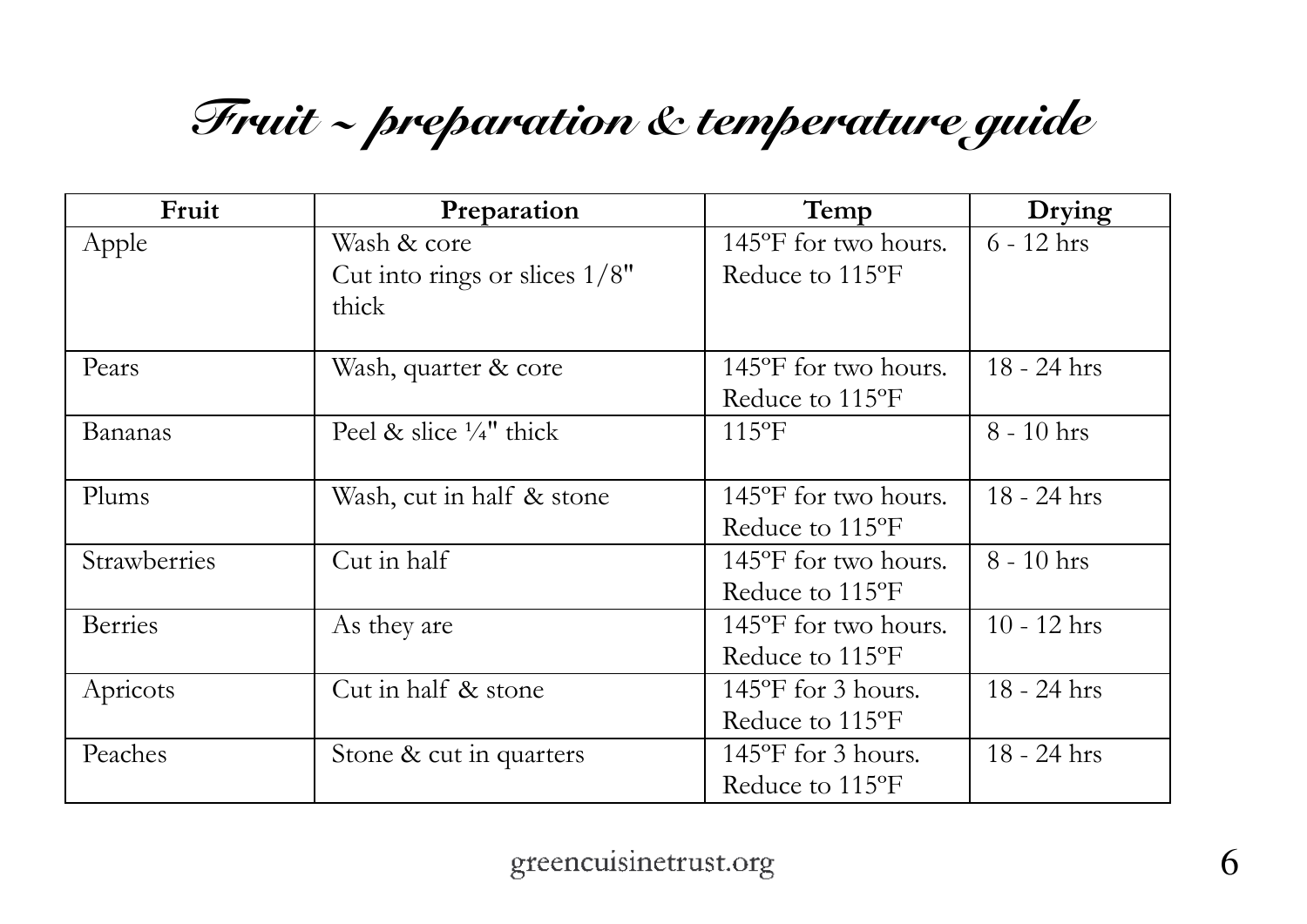# Fruit ~ preparation & temperature guide

| Fruit        | Preparation                        | Temp                         | Drying        |
|--------------|------------------------------------|------------------------------|---------------|
| Apple        | Wash & core                        | 145°F for two hours.         | $6 - 12$ hrs  |
|              | Cut into rings or slices $1/8"$    | Reduce to 115°F              |               |
|              | thick                              |                              |               |
|              |                                    |                              |               |
| Pears        | Wash, quarter & core               | 145°F for two hours.         | $18 - 24$ hrs |
|              |                                    | Reduce to 115°F              |               |
| Bananas      | Peel & slice $\frac{1}{4}$ " thick | $115^{\circ}$ F              | $8 - 10$ hrs  |
|              |                                    |                              |               |
| Plums        | Wash, cut in half & stone          | 145°F for two hours.         | $18 - 24$ hrs |
|              |                                    | Reduce to 115°F              |               |
| Strawberries | Cut in half                        | 145°F for two hours.         | $8 - 10$ hrs  |
|              |                                    | Reduce to 115°F              |               |
| Berries      | As they are                        | 145°F for two hours.         | $10 - 12$ hrs |
|              |                                    | Reduce to 115°F              |               |
| Apricots     | Cut in half & stone                | 145°F for 3 hours.           | $18 - 24$ hrs |
|              |                                    | Reduce to 115°F              |               |
| Peaches      | Stone & cut in quarters            | $145^{\circ}$ F for 3 hours. | $18 - 24$ hrs |
|              |                                    | Reduce to 115°F              |               |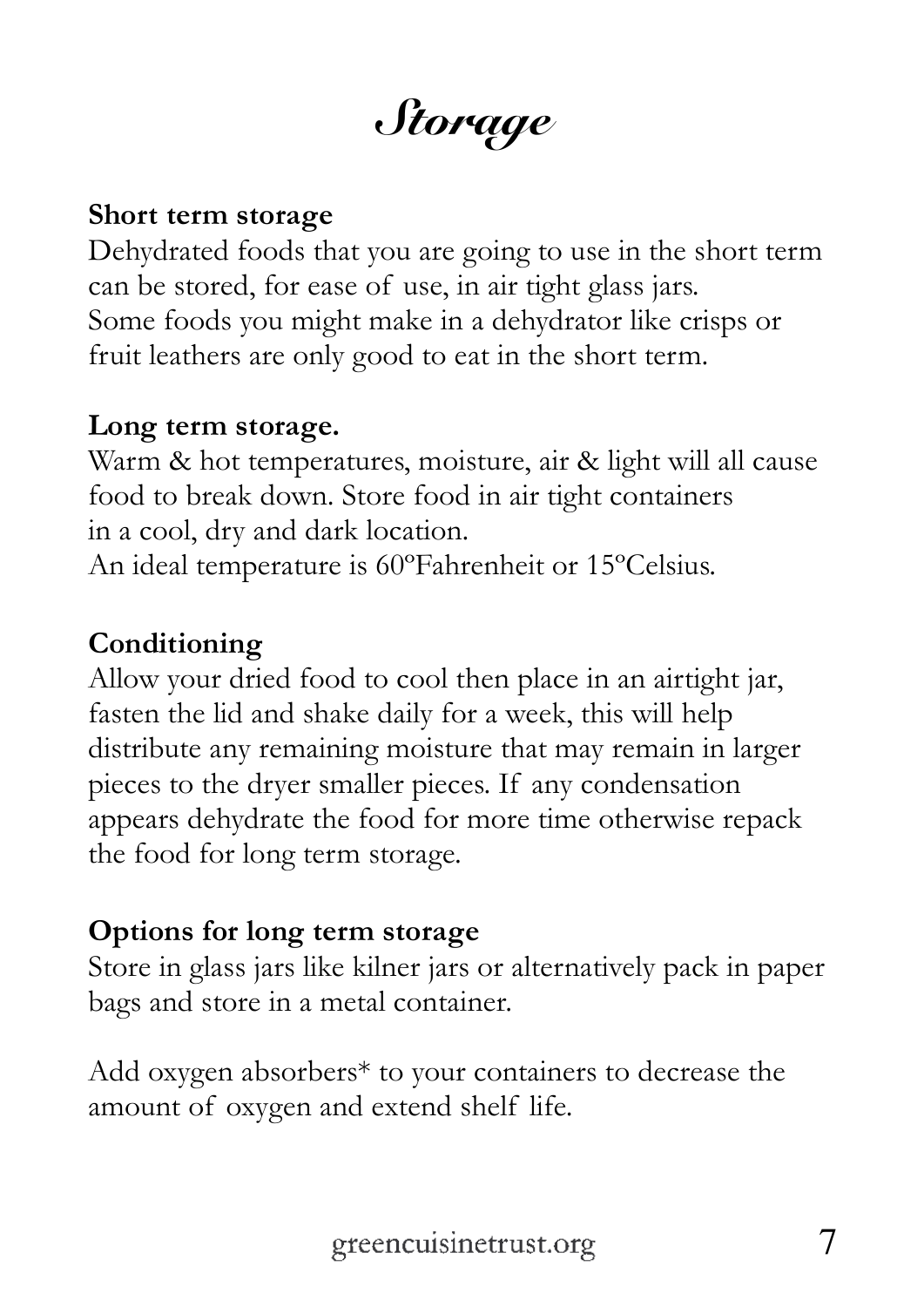# Storage

### Short term storage

Dehydrated foods that you are going to use in the short term can be stored, for ease of use, in air tight glass jars. Some foods you might make in a dehydrator like crisps or fruit leathers are only good to eat in the short term.

#### Long term storage.

Warm & hot temperatures, moisture, air & light will all cause food to break down. Store food in air tight containers in a cool, dry and dark location.

An ideal temperature is 60ºFahrenheit or 15ºCelsius.

### Conditioning

Allow your dried food to cool then place in an airtight jar, fasten the lid and shake daily for a week, this will help distribute any remaining moisture that may remain in larger pieces to the dryer smaller pieces. If any condensation appears dehydrate the food for more time otherwise repack the food for long term storage.

#### Options for long term storage

Store in glass jars like kilner jars or alternatively pack in paper bags and store in a metal container.

Add oxygen absorbers\* to your containers to decrease the amount of oxygen and extend shelf life.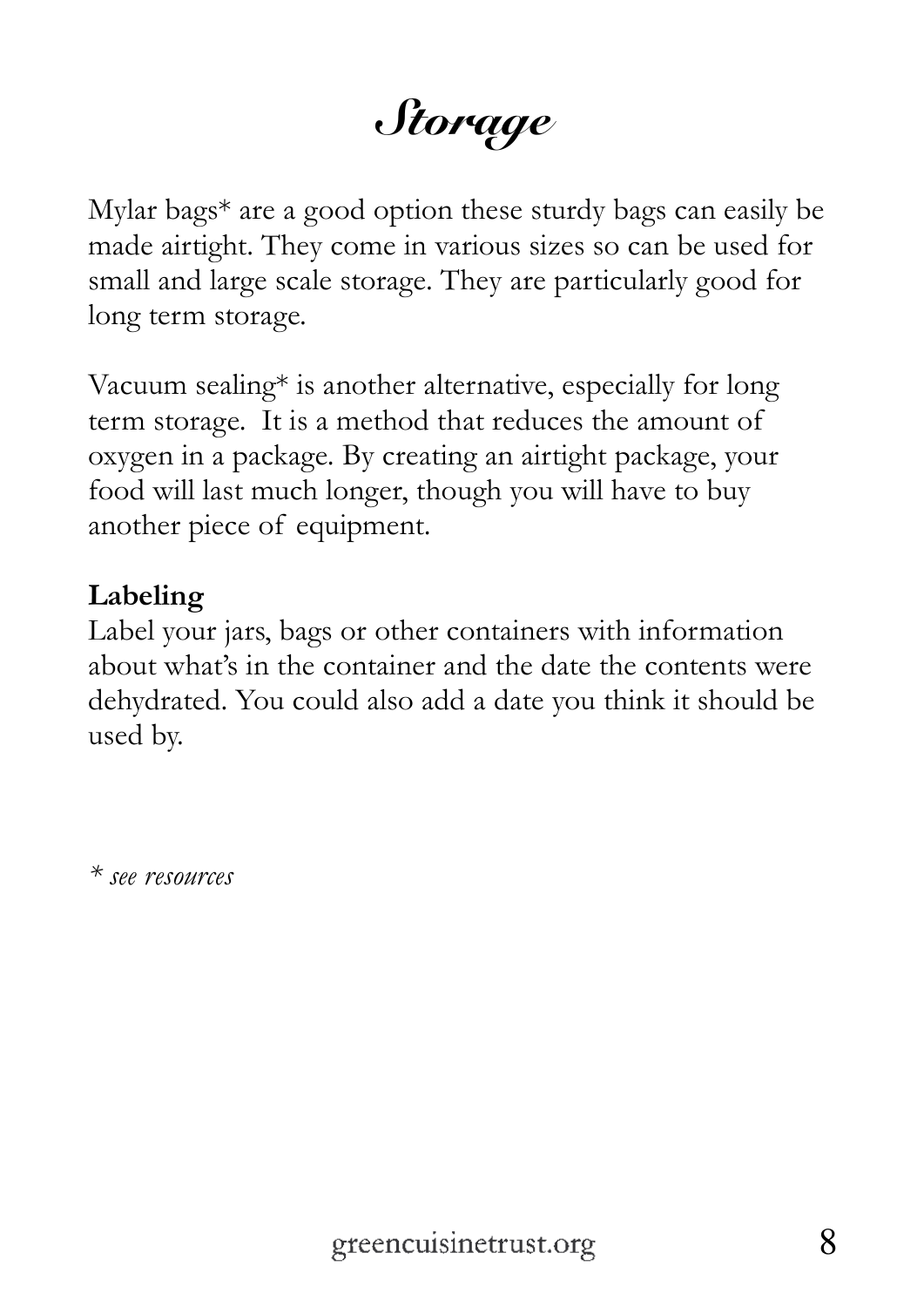# Storage

Mylar bags\* are a good option these sturdy bags can easily be made airtight. They come in various sizes so can be used for small and large scale storage. They are particularly good for long term storage.

Vacuum sealing\* is another alternative, especially for long term storage. It is a method that reduces the amount of oxygen in a package. By creating an airtight package, your food will last much longer, though you will have to buy another piece of equipment.

### Labeling

Label your jars, bags or other containers with information about what's in the container and the date the contents were dehydrated. You could also add a date you think it should be used by.

\* see resources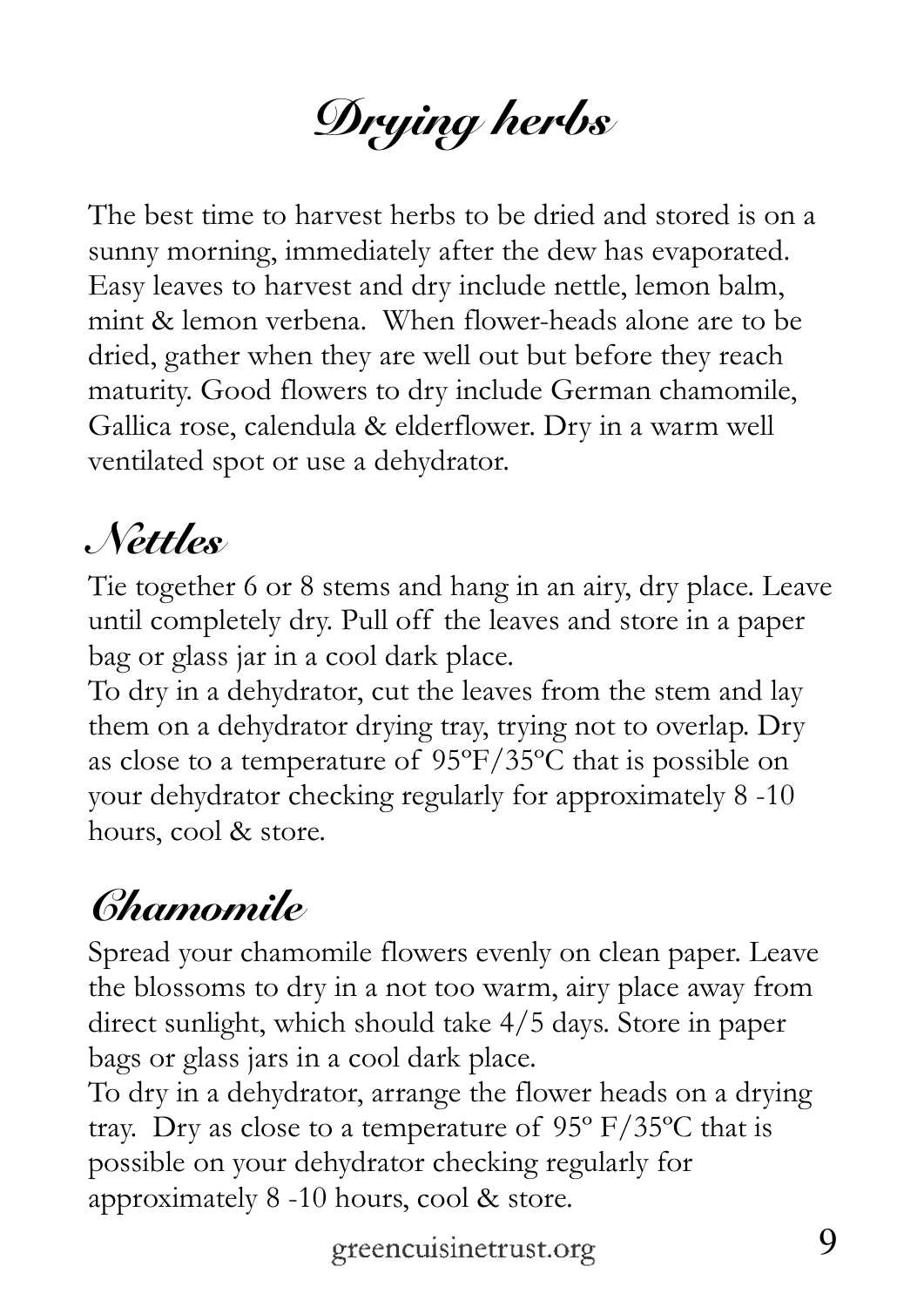Drying herbs

The best time to harvest herbs to be dried and stored is on a sunny morning, immediately after the dew has evaporated. Easy leaves to harvest and dry include nettle, lemon balm, mint & lemon verbena. When flower-heads alone are to be dried, gather when they are well out but before they reach maturity. Good flowers to dry include German chamomile, Gallica rose, calendula & elderflower. Dry in a warm well ventilated spot or use a dehydrator.

## Nettles

Tie together 6 or 8 stems and hang in an airy, dry place. Leave until completely dry. Pull off the leaves and store in a paper bag or glass jar in a cool dark place.

To dry in a dehydrator, cut the leaves from the stem and lay them on a dehydrator drying tray, trying not to overlap. Dry as close to a temperature of 95ºF/35ºC that is possible on your dehydrator checking regularly for approximately 8 -10 hours, cool & store.

### Chamomile

Spread your chamomile flowers evenly on clean paper. Leave the blossoms to dry in a not too warm, airy place away from direct sunlight, which should take 4/5 days. Store in paper bags or glass jars in a cool dark place.

To dry in a dehydrator, arrange the flower heads on a drying tray. Dry as close to a temperature of  $95^{\circ}$  F/35 $^{\circ}$ C that is possible on your dehydrator checking regularly for approximately 8 -10 hours, cool & store.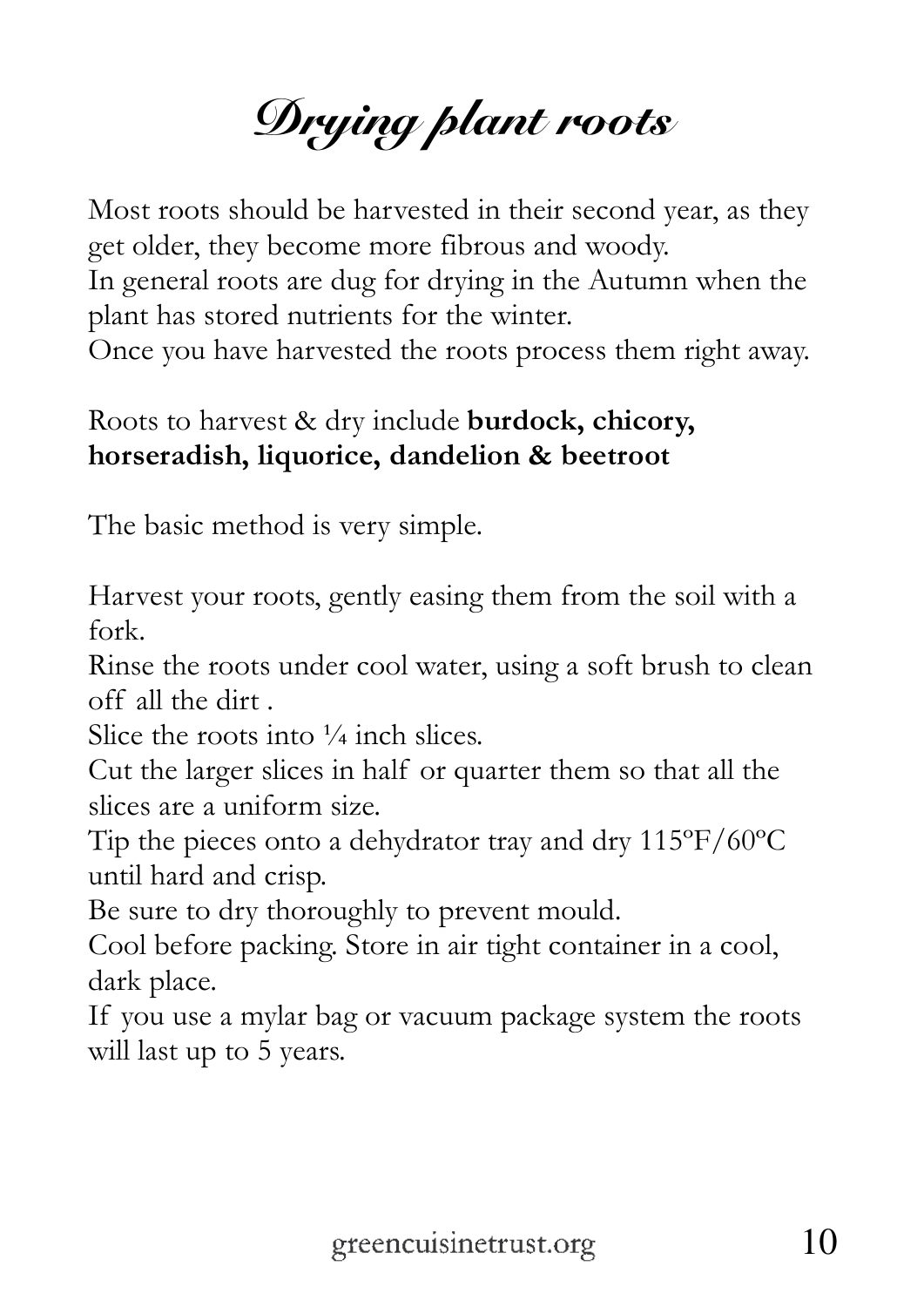Drying plant roots

Most roots should be harvested in their second year, as they get older, they become more fibrous and woody.

In general roots are dug for drying in the Autumn when the plant has stored nutrients for the winter.

Once you have harvested the roots process them right away.

### Roots to harvest & dry include burdock, chicory, horseradish, liquorice, dandelion & beetroot

The basic method is very simple.

Harvest your roots, gently easing them from the soil with a fork.

Rinse the roots under cool water, using a soft brush to clean off all the dirt .

Slice the roots into  $\frac{1}{4}$  inch slices.

Cut the larger slices in half or quarter them so that all the slices are a uniform size.

Tip the pieces onto a dehydrator tray and dry 115ºF/60ºC until hard and crisp.

Be sure to dry thoroughly to prevent mould.

Cool before packing. Store in air tight container in a cool, dark place.

If you use a mylar bag or vacuum package system the roots will last up to 5 years.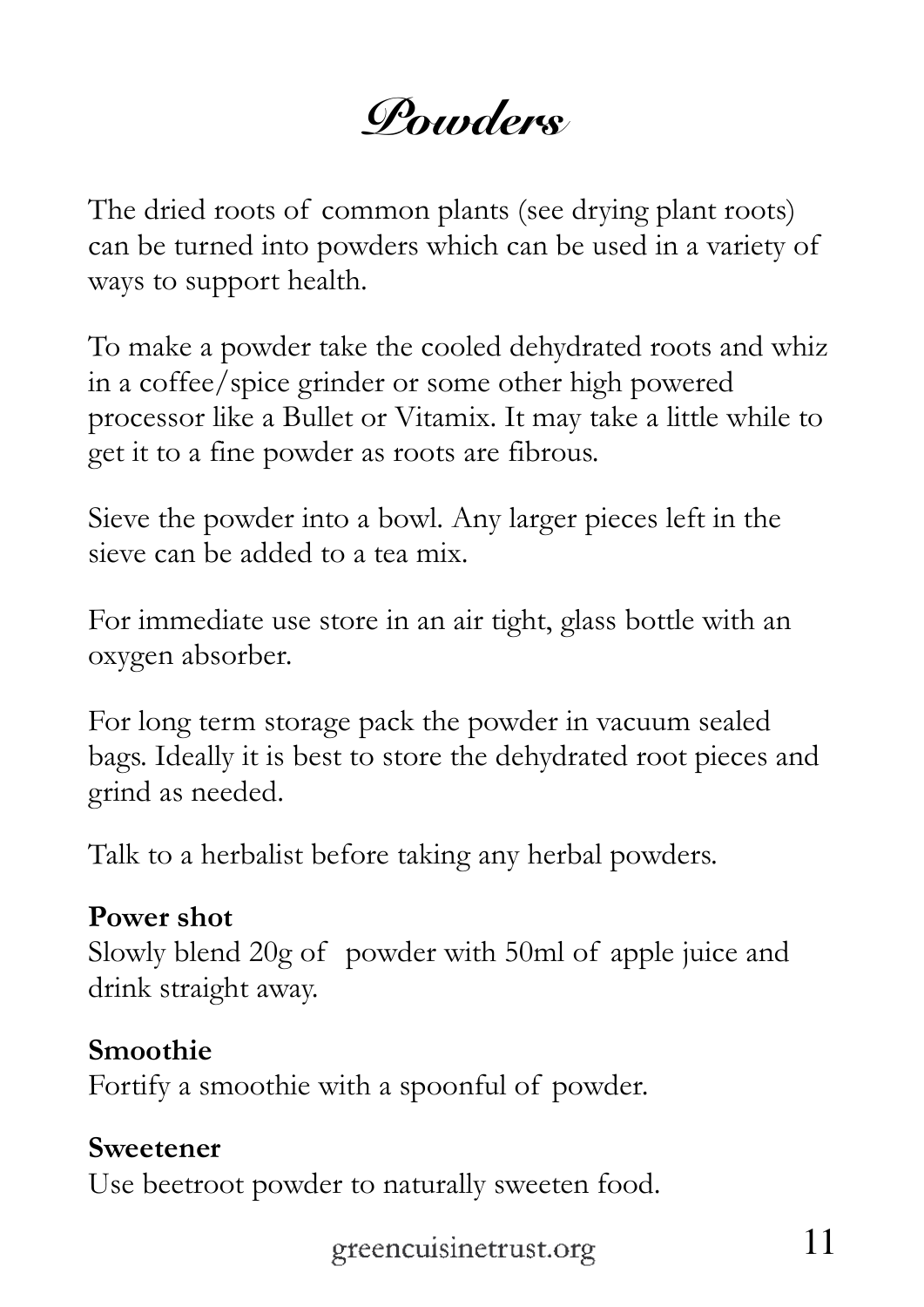## *Pourders*

The dried roots of common plants (see drying plant roots) can be turned into powders which can be used in a variety of ways to support health.

To make a powder take the cooled dehydrated roots and whiz in a coffee/spice grinder or some other high powered processor like a Bullet or Vitamix. It may take a little while to get it to a fine powder as roots are fibrous.

Sieve the powder into a bowl. Any larger pieces left in the sieve can be added to a tea mix.

For immediate use store in an air tight, glass bottle with an oxygen absorber.

For long term storage pack the powder in vacuum sealed bags. Ideally it is best to store the dehydrated root pieces and grind as needed.

Talk to a herbalist before taking any herbal powders.

### Power shot

Slowly blend 20g of powder with 50ml of apple juice and drink straight away.

### Smoothie

Fortify a smoothie with a spoonful of powder.

### Sweetener

Use beetroot powder to naturally sweeten food.

greencuisinetrust.org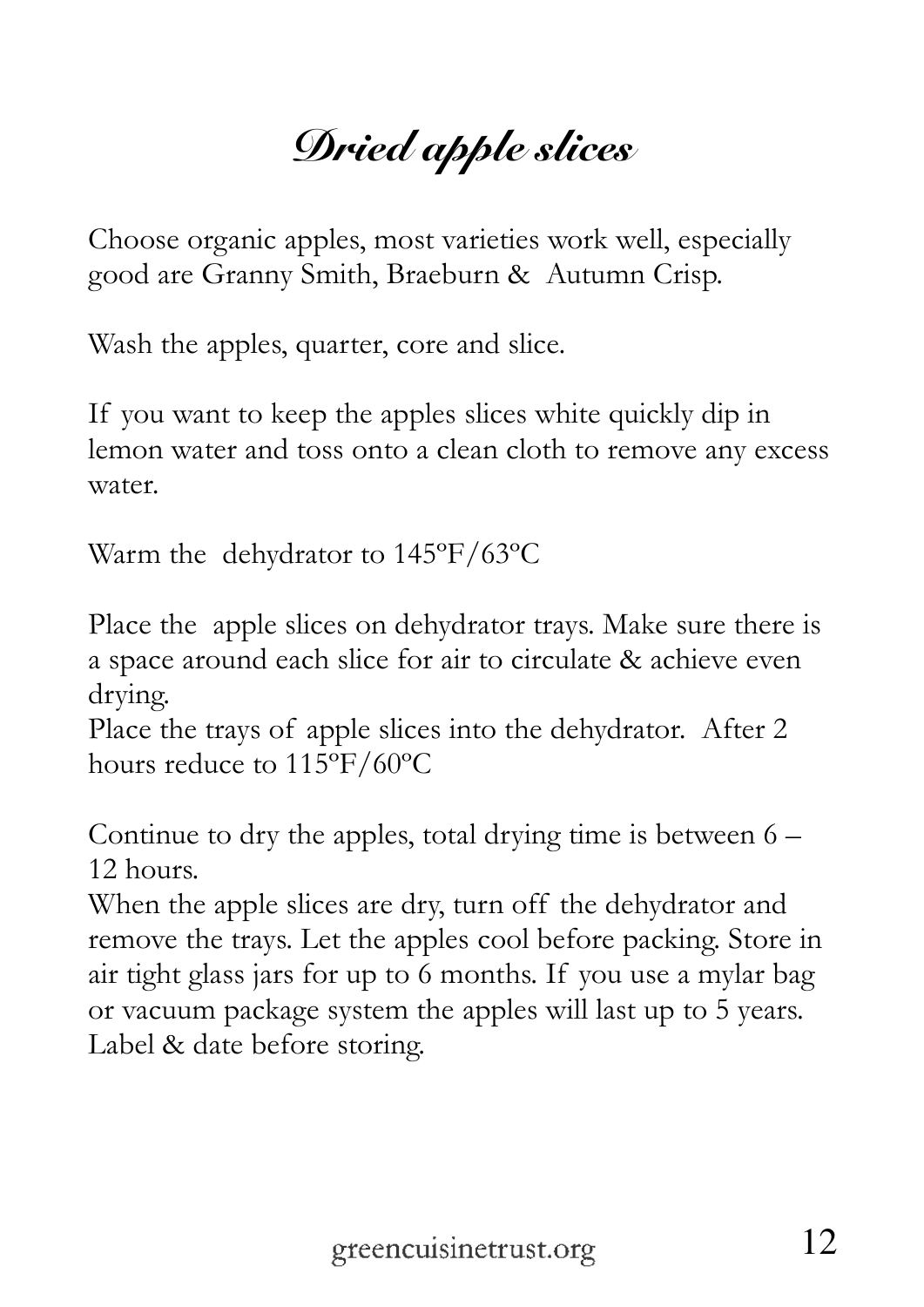# Dried apple slices

Choose organic apples, most varieties work well, especially good are Granny Smith, Braeburn & Autumn Crisp.

Wash the apples, quarter, core and slice.

If you want to keep the apples slices white quickly dip in lemon water and toss onto a clean cloth to remove any excess water.

Warm the dehydrator to 145ºF/63ºC

Place the apple slices on dehydrator trays. Make sure there is a space around each slice for air to circulate & achieve even drying.

Place the trays of apple slices into the dehydrator. After 2 hours reduce to 115ºF/60ºC

Continue to dry the apples, total drying time is between 6 – 12 hours.

When the apple slices are dry, turn off the dehydrator and remove the trays. Let the apples cool before packing. Store in air tight glass jars for up to 6 months. If you use a mylar bag or vacuum package system the apples will last up to 5 years. Label & date before storing.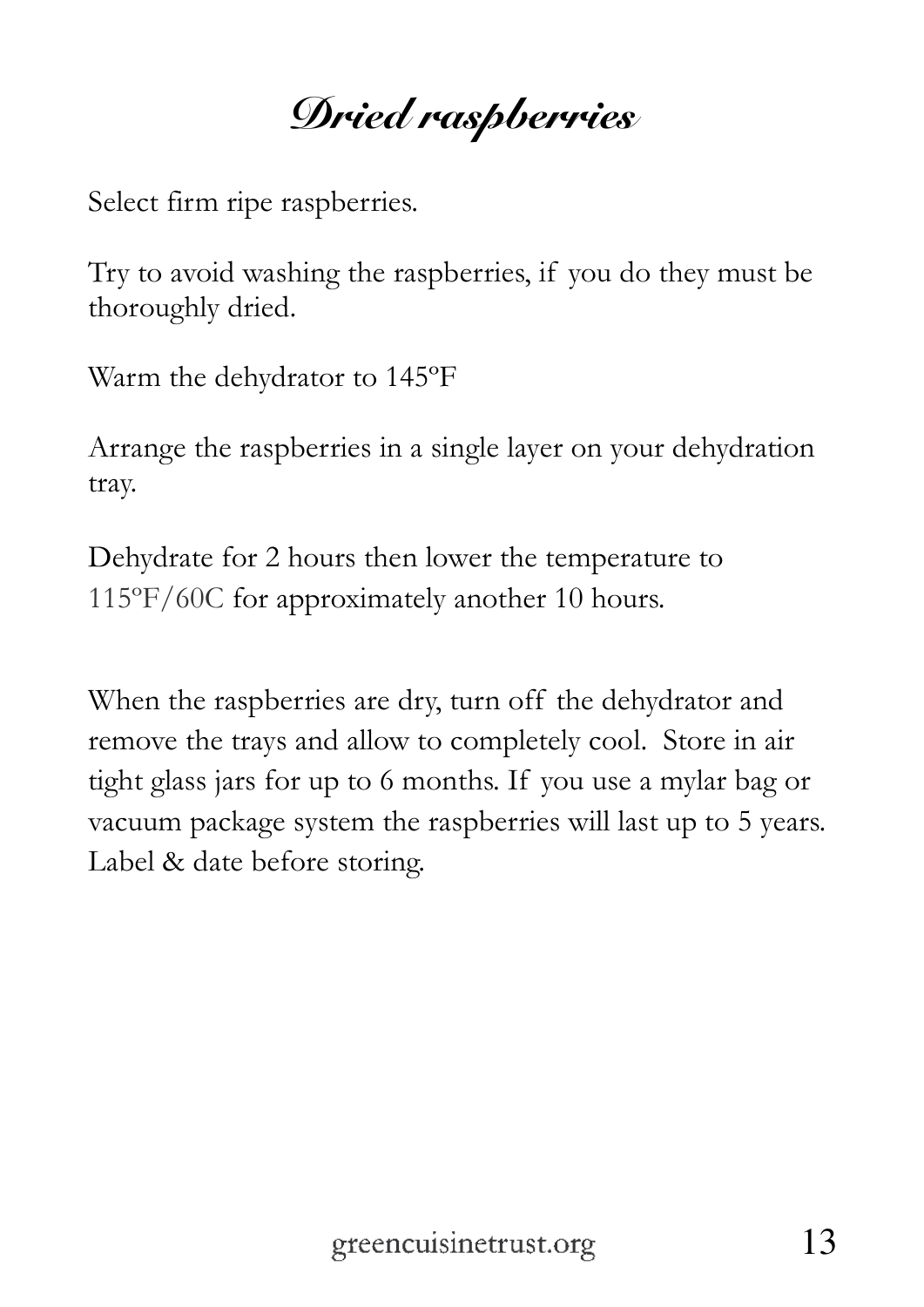### Dried raspberries

Select firm ripe raspberries.

Try to avoid washing the raspberries, if you do they must be thoroughly dried.

Warm the dehydrator to 145ºF

Arrange the raspberries in a single layer on your dehydration tray.

Dehydrate for 2 hours then lower the temperature to 115ºF/60C for approximately another 10 hours.

When the raspberries are dry, turn off the dehydrator and remove the trays and allow to completely cool. Store in air tight glass jars for up to 6 months. If you use a mylar bag or vacuum package system the raspberries will last up to 5 years. Label & date before storing.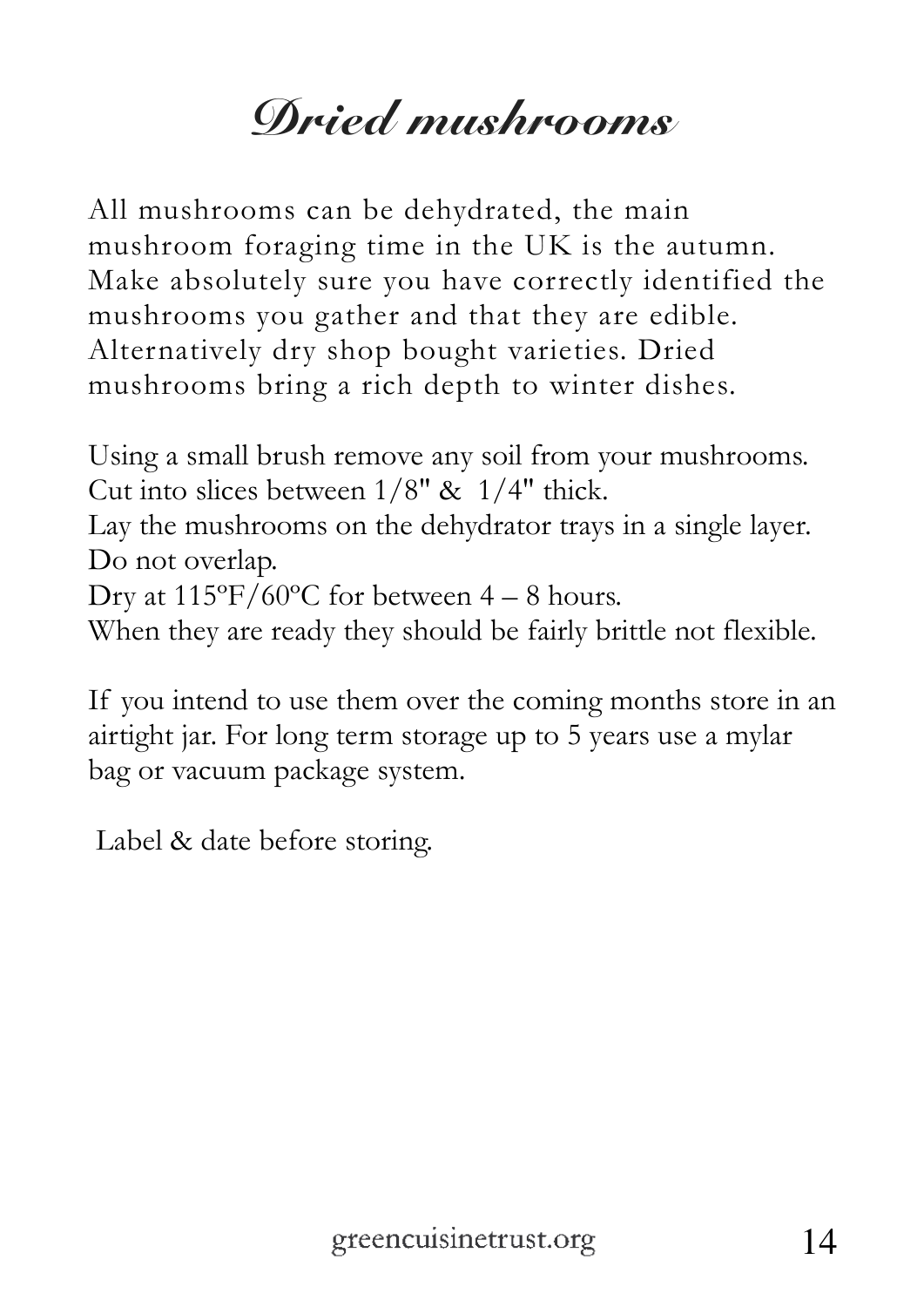## Dried mushrooms

All mushrooms can be dehydrated, the main mushroom foraging time in the UK is the autumn. Make absolutely sure you have correctly identified the mushrooms you gather and that they are edible. Alternatively dry shop bought varieties. Dried mushrooms bring a rich depth to winter dishes.

Using a small brush remove any soil from your mushrooms. Cut into slices between 1/8" & 1/4" thick.

Lay the mushrooms on the dehydrator trays in a single layer. Do not overlap.

Dry at  $115^{\circ}F/60^{\circ}C$  for between  $4-8$  hours.

When they are ready they should be fairly brittle not flexible.

If you intend to use them over the coming months store in an airtight jar. For long term storage up to 5 years use a mylar bag or vacuum package system.

Label & date before storing.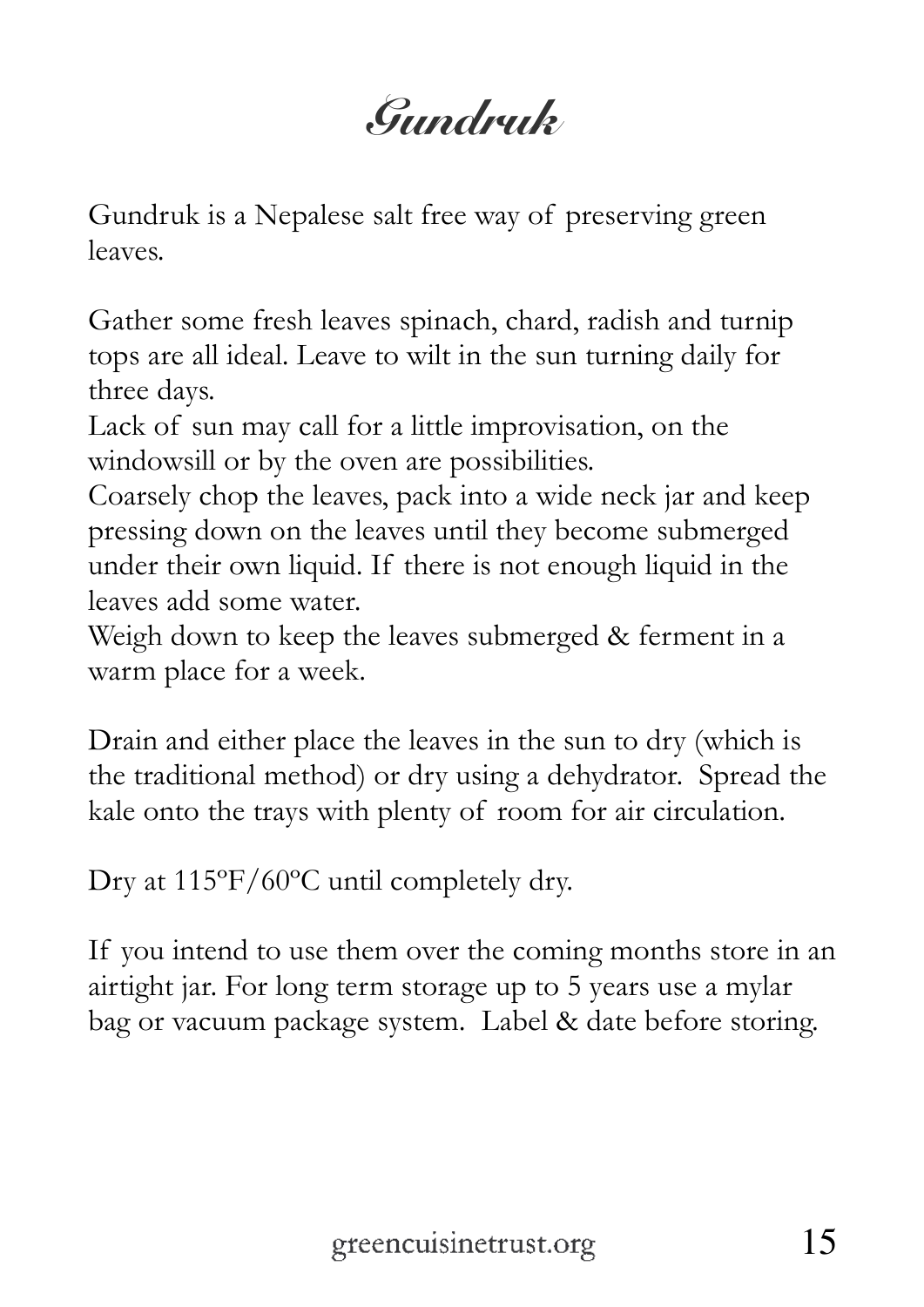## Gundruk

Gundruk is a Nepalese salt free way of preserving green leaves.

Gather some fresh leaves spinach, chard, radish and turnip tops are all ideal. Leave to wilt in the sun turning daily for three days.

Lack of sun may call for a little improvisation, on the windowsill or by the oven are possibilities.

Coarsely chop the leaves, pack into a wide neck jar and keep pressing down on the leaves until they become submerged under their own liquid. If there is not enough liquid in the leaves add some water.

Weigh down to keep the leaves submerged & ferment in a warm place for a week.

Drain and either place the leaves in the sun to dry (which is the traditional method) or dry using a dehydrator. Spread the kale onto the trays with plenty of room for air circulation.

Dry at 115ºF/60ºC until completely dry.

If you intend to use them over the coming months store in an airtight jar. For long term storage up to 5 years use a mylar bag or vacuum package system. Label & date before storing.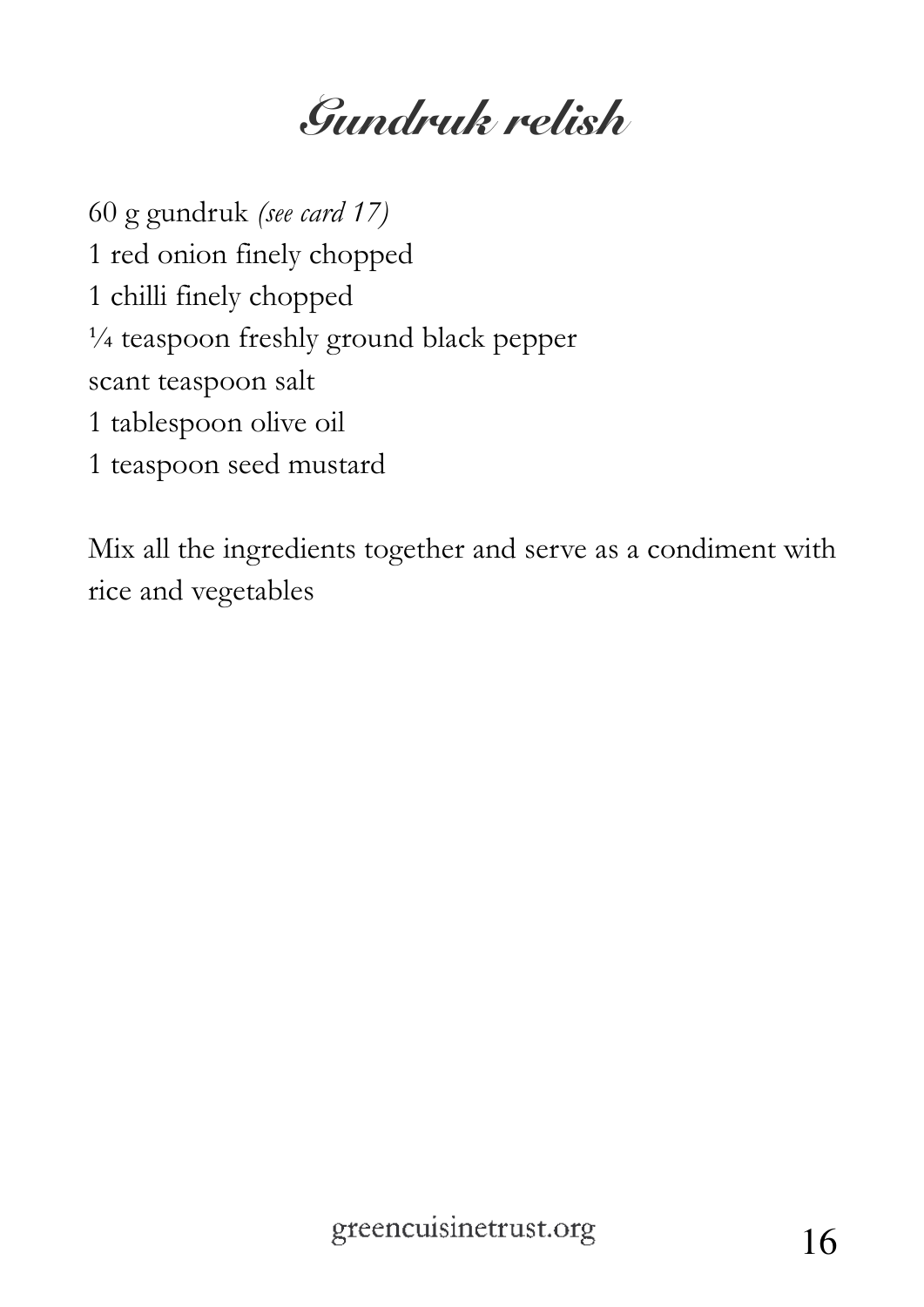## Gundruk relish

60 g gundruk (see card 17) 1 red onion finely chopped 1 chilli finely chopped ¼ teaspoon freshly ground black pepper scant teaspoon salt 1 tablespoon olive oil 1 teaspoon seed mustard

Mix all the ingredients together and serve as a condiment with rice and vegetables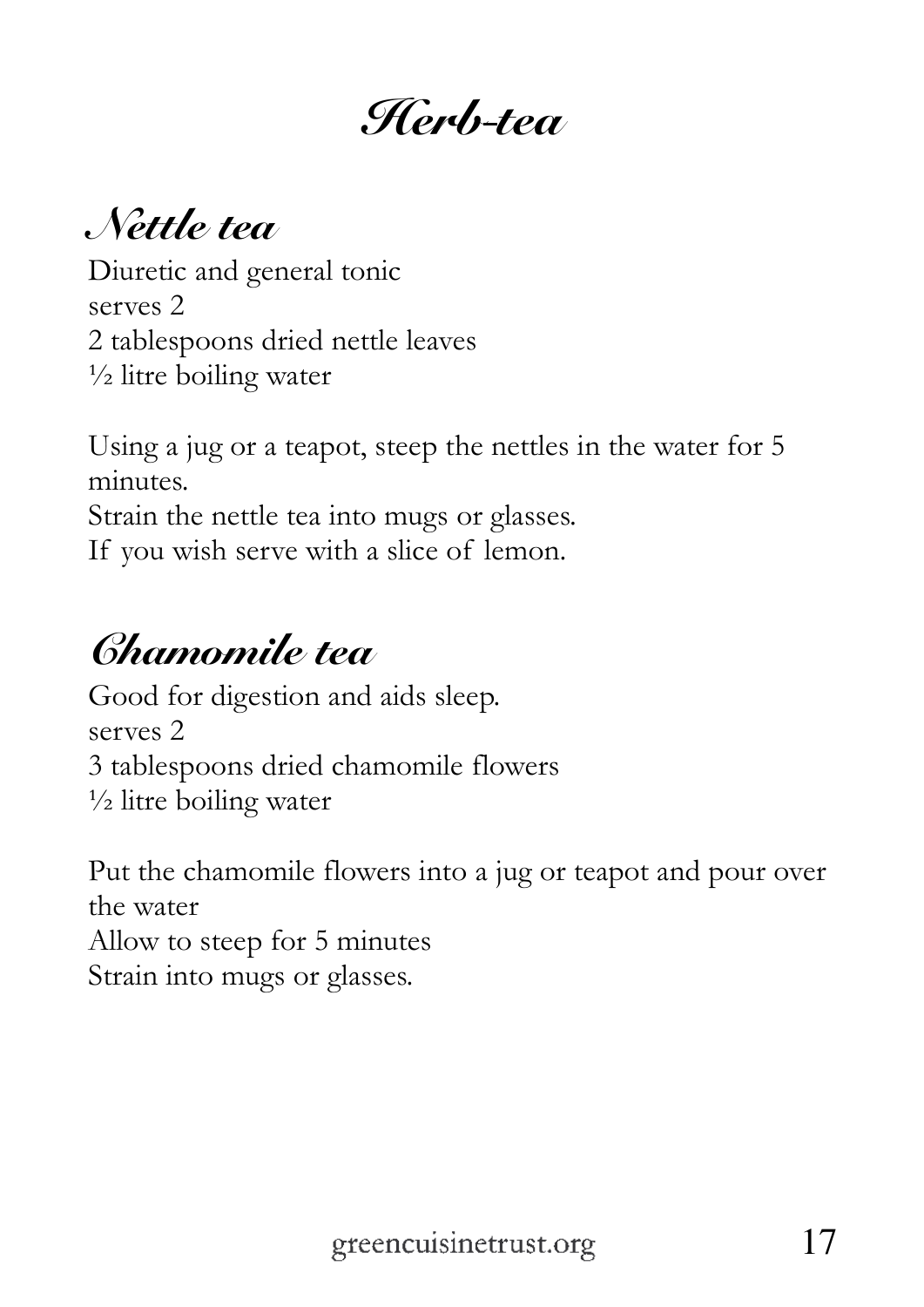### Herb tea

### Nettle tea

Diuretic and general tonic serves 2 2 tablespoons dried nettle leaves  $\frac{1}{2}$  litre boiling water

Using a jug or a teapot, steep the nettles in the water for 5 minutes. Strain the nettle tea into mugs or glasses. If you wish serve with a slice of lemon.

### Chamomile tea

Good for digestion and aids sleep. serves 2 3 tablespoons dried chamomile flowers  $\frac{1}{2}$  litre boiling water

Put the chamomile flowers into a jug or teapot and pour over the water Allow to steep for 5 minutes Strain into mugs or glasses.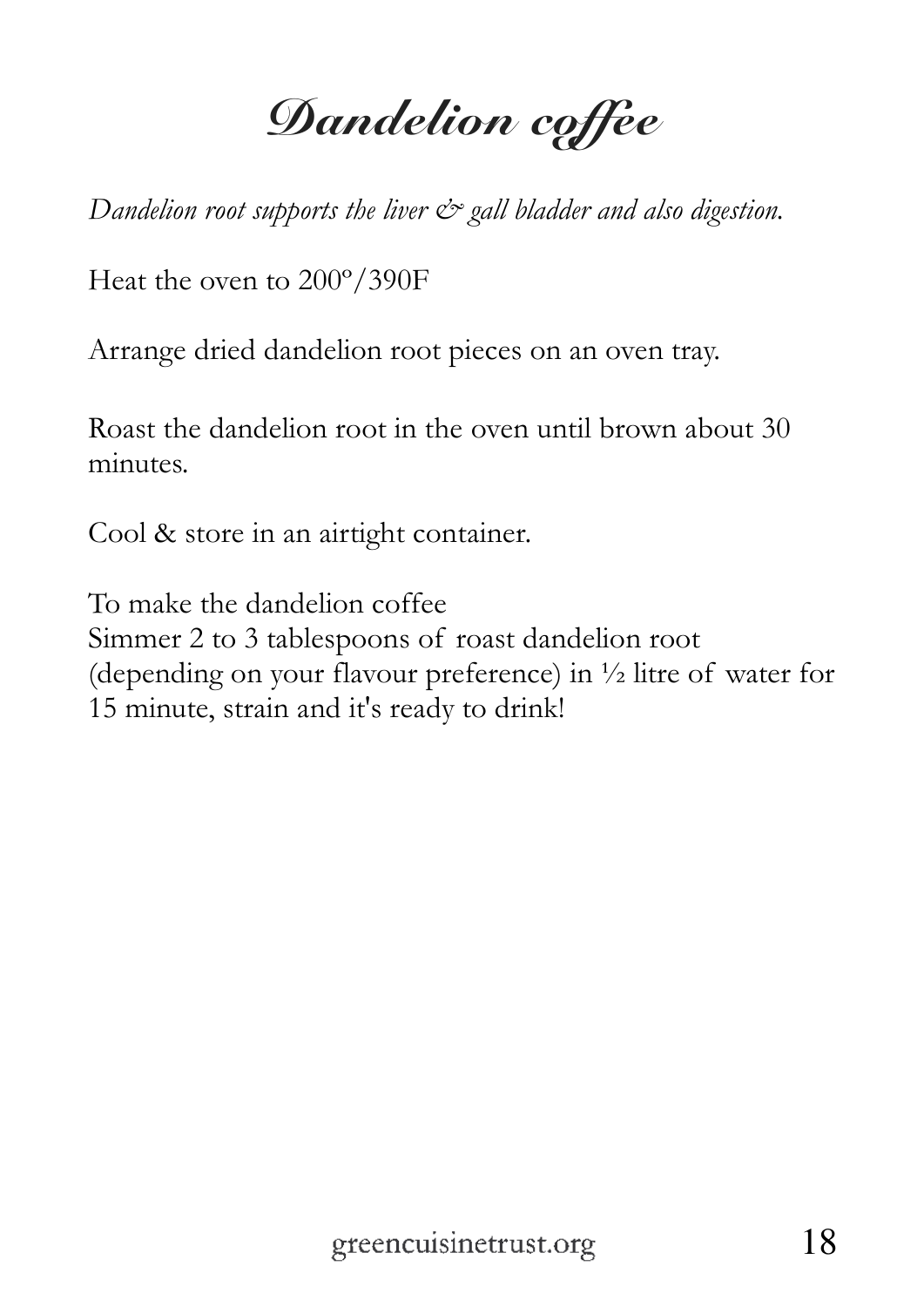# Dandelion coffee

Dandelion root supports the liver  $\mathcal{Q}^*$  gall bladder and also digestion.

Heat the oven to 200º/390F

Arrange dried dandelion root pieces on an oven tray.

Roast the dandelion root in the oven until brown about 30 minutes.

Cool & store in an airtight container.

To make the dandelion coffee Simmer 2 to 3 tablespoons of roast dandelion root (depending on your flavour preference) in ½ litre of water for 15 minute, strain and it's ready to drink!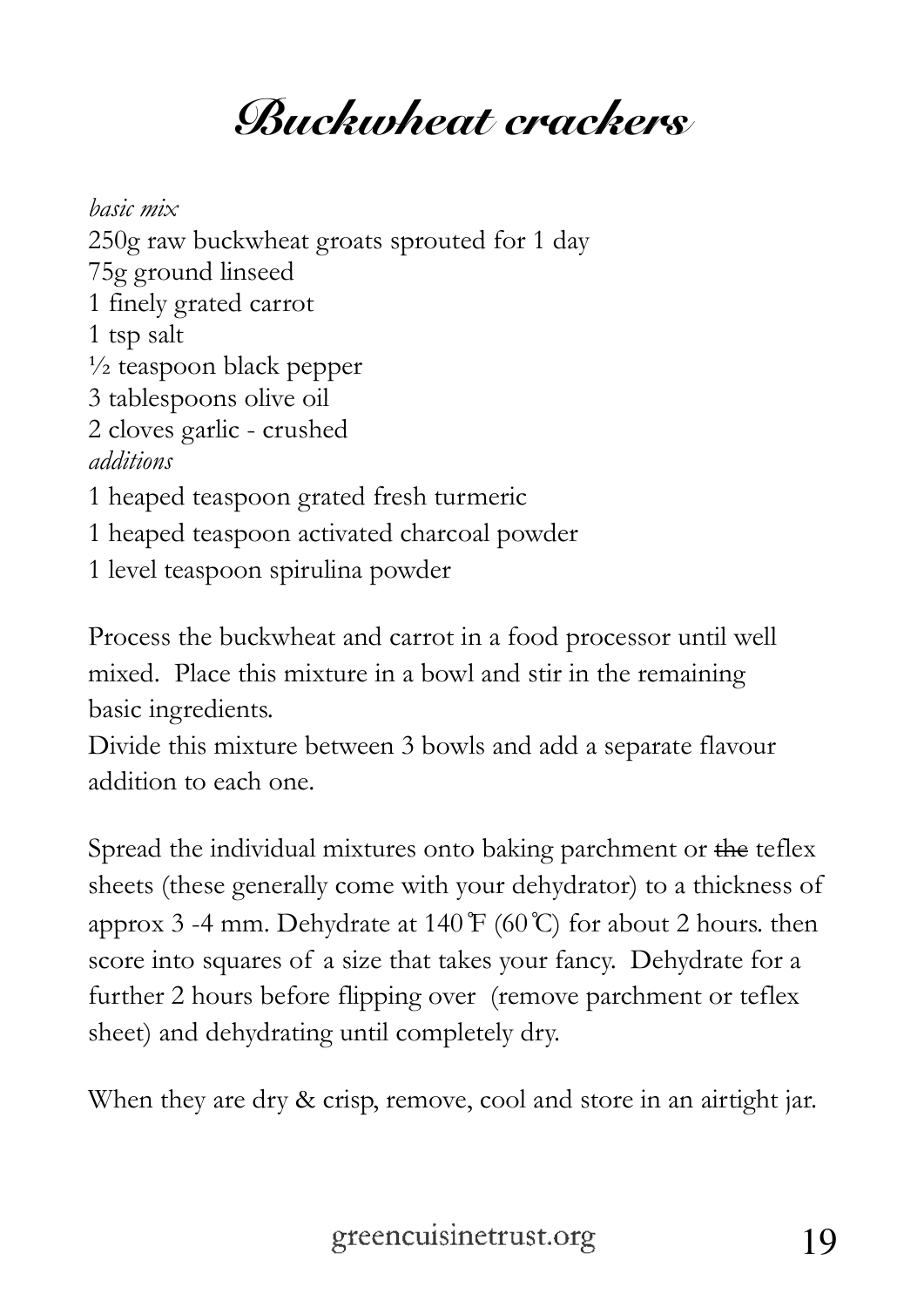## Buckwheat crackers

basic mix 250g raw buckwheat groats sprouted for 1 day 75g ground linseed 1 finely grated carrot 1 tsp salt  $\frac{1}{2}$  teaspoon black pepper 3 tablespoons olive oil 2 cloves garlic - crushed additions 1 heaped teaspoon grated fresh turmeric 1 heaped teaspoon activated charcoal powder

1 level teaspoon spirulina powder

Process the buckwheat and carrot in a food processor until well mixed. Place this mixture in a bowl and stir in the remaining basic ingredients.

Divide this mixture between 3 bowls and add a separate flavour addition to each one.

Spread the individual mixtures onto baking parchment or the teflex sheets (these generally come with your dehydrator) to a thickness of approx 3 -4 mm. Dehydrate at  $140 \text{ }^{\circ}\text{F}$  (60 $\text{ }^{\circ}\text{C}$ ) for about 2 hours. then score into squares of a size that takes your fancy. Dehydrate for a further 2 hours before flipping over (remove parchment or teflex sheet) and dehydrating until completely dry.

When they are dry & crisp, remove, cool and store in an airtight jar.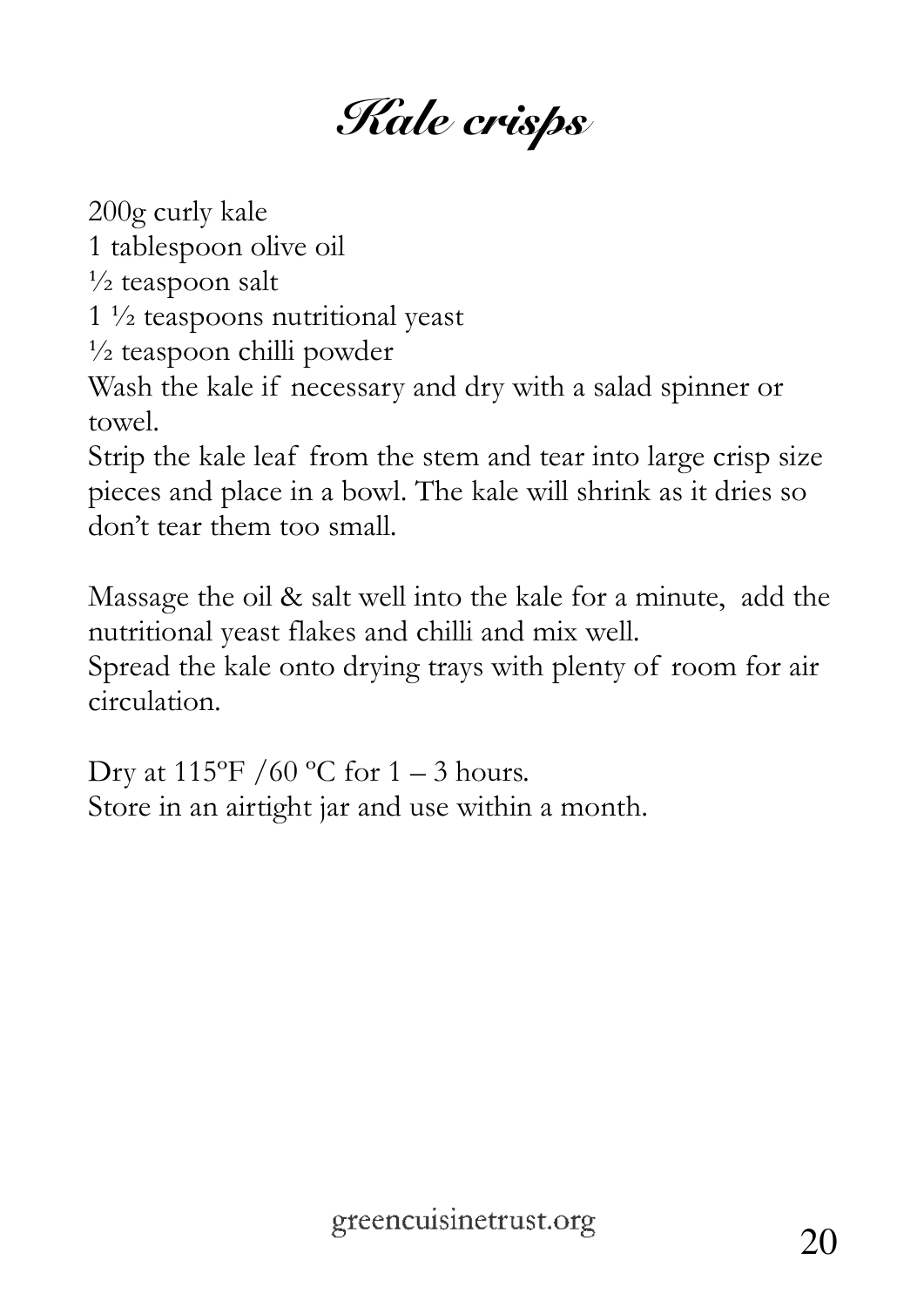Kale crisps

200g curly kale 1 tablespoon olive oil  $\frac{1}{2}$  teaspoon salt 1 ½ teaspoons nutritional yeast ½ teaspoon chilli powder Wash the kale if necessary and dry with a salad spinner or towel. Strip the kale leaf from the stem and tear into large crisp size

pieces and place in a bowl. The kale will shrink as it dries so don't tear them too small.

Massage the oil & salt well into the kale for a minute, add the nutritional yeast flakes and chilli and mix well.

Spread the kale onto drying trays with plenty of room for air circulation.

Dry at 115°F /60 °C for 1 – 3 hours. Store in an airtight jar and use within a month.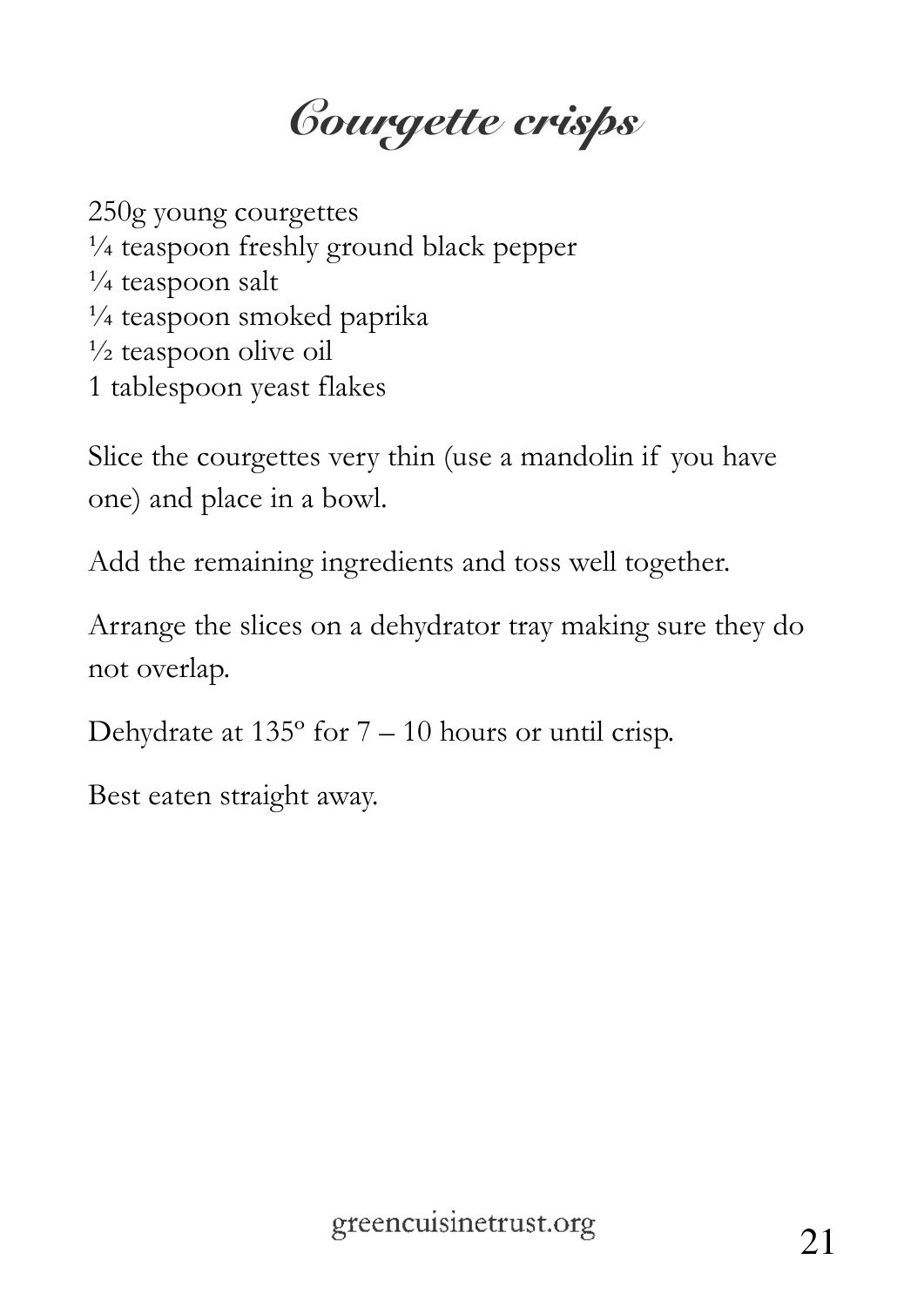Courgette crisps

250g young courgettes ¼ teaspoon freshly ground black pepper ¼ teaspoon salt ¼ teaspoon smoked paprika ½ teaspoon olive oil 1 tablespoon yeast flakes

Slice the courgettes very thin (use a mandolin if you have one) and place in a bowl.

Add the remaining ingredients and toss well together.

Arrange the slices on a dehydrator tray making sure they do not overlap.

Dehydrate at  $135^{\circ}$  for  $7 - 10$  hours or until crisp.

Best eaten straight away.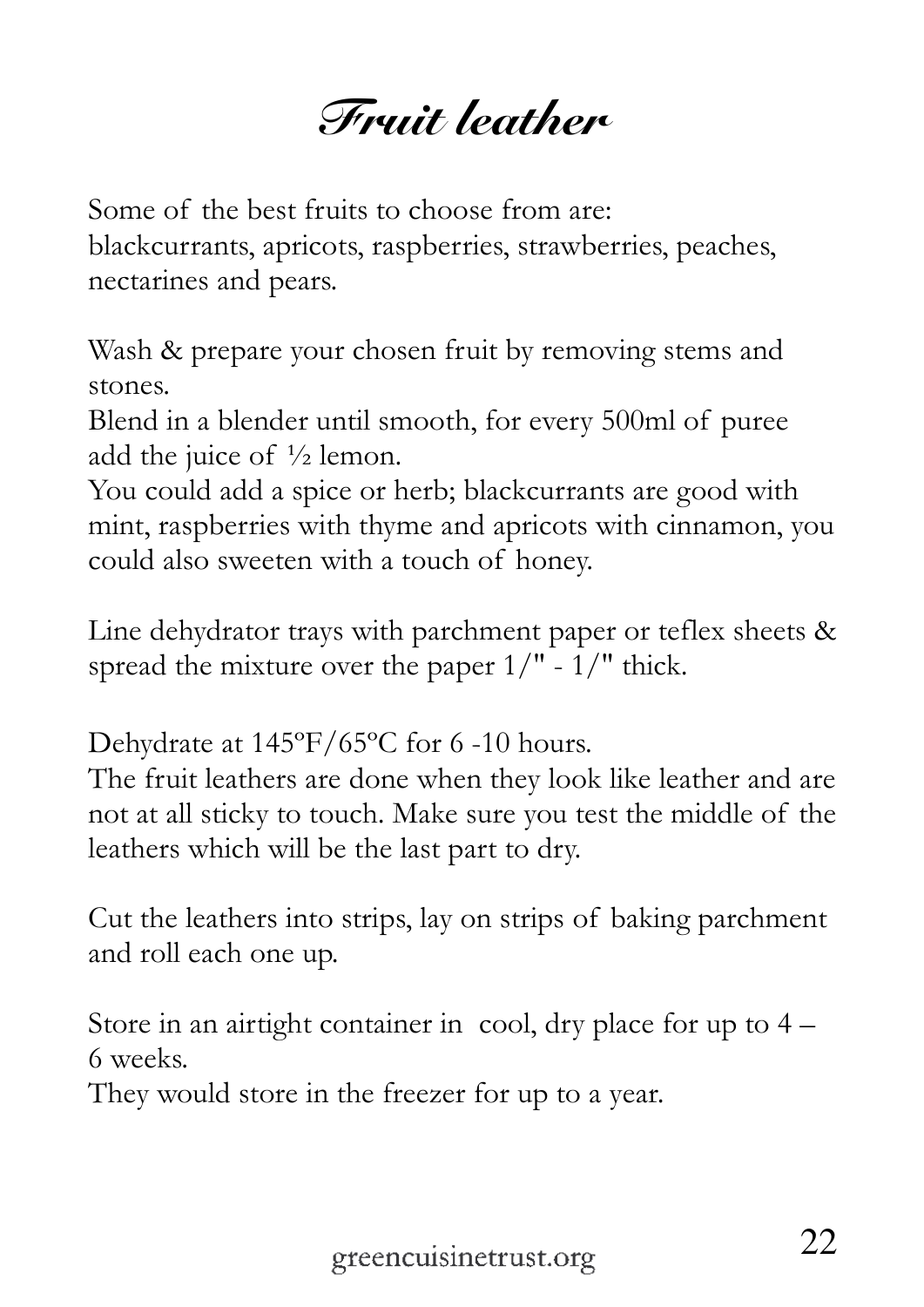### Fruit leather

Some of the best fruits to choose from are: blackcurrants, apricots, raspberries, strawberries, peaches, nectarines and pears.

Wash & prepare your chosen fruit by removing stems and stones.

Blend in a blender until smooth, for every 500ml of puree add the juice of ½ lemon.

You could add a spice or herb; blackcurrants are good with mint, raspberries with thyme and apricots with cinnamon, you could also sweeten with a touch of honey.

Line dehydrator trays with parchment paper or teflex sheets & spread the mixture over the paper  $1/$ " -  $1/$ " thick.

Dehydrate at 145ºF/65ºC for 6 -10 hours.

The fruit leathers are done when they look like leather and are not at all sticky to touch. Make sure you test the middle of the leathers which will be the last part to dry.

Cut the leathers into strips, lay on strips of baking parchment and roll each one up.

Store in an airtight container in cool, dry place for up to 4 – 6 weeks. They would store in the freezer for up to a year.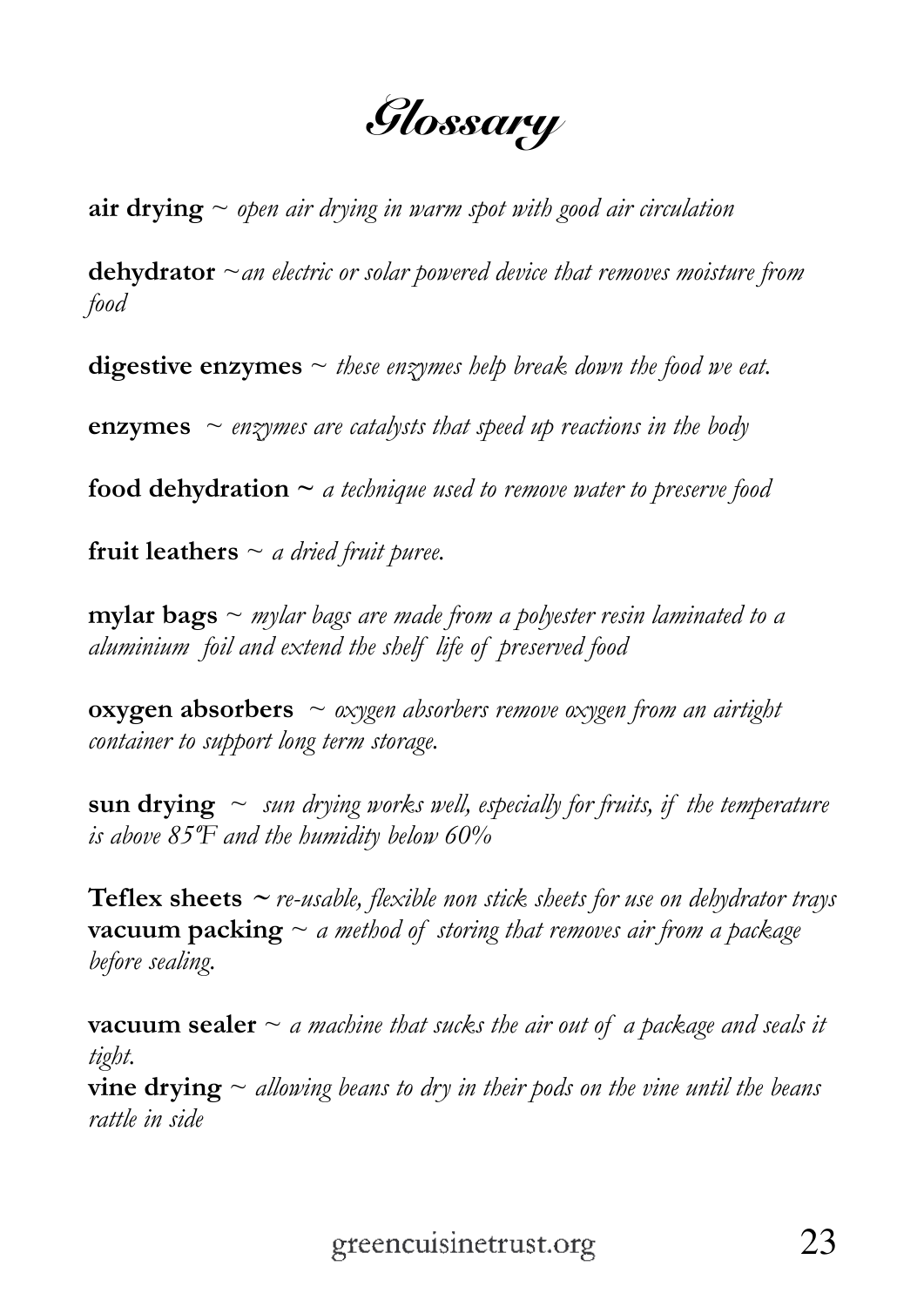Glossary

air drying  $\sim$  open air drying in warm spot with good air circulation

**dehydrator**  $\sim$  an electric or solar powered device that removes moisture from food

digestive enzymes  $\sim$  these enzymes help break down the food we eat.

**enzymes**  $\sim$  enzymes are catalysts that speed up reactions in the body

food dehydration  $\sim$  a technique used to remove water to preserve food

fruit leathers  $\sim$  a dried fruit puree.

**mylar bags**  $\sim$  *mylar bags are made from a polyester resin laminated to a* aluminium foil and extend the shelf life of preserved food

**oxygen absorbers**  $\sim$  oxygen absorbers remove oxygen from an airtight container to support long term storage.

sun drying  $\sim$  sun drying works well, especially for fruits, if the temperature is above  $85^{\circ}$ F and the humidity below  $60\%$ 

**Teflex sheets**  $\sim$  re-usable, flexible non stick sheets for use on dehydrator trays **vacuum packing**  $\sim$  a method of storing that removes air from a package before sealing.

**vacuum sealer**  $\sim$  a machine that sucks the air out of a package and seals it tight. **vine drying**  $\sim$  allowing beans to dry in their pods on the vine until the beans rattle in side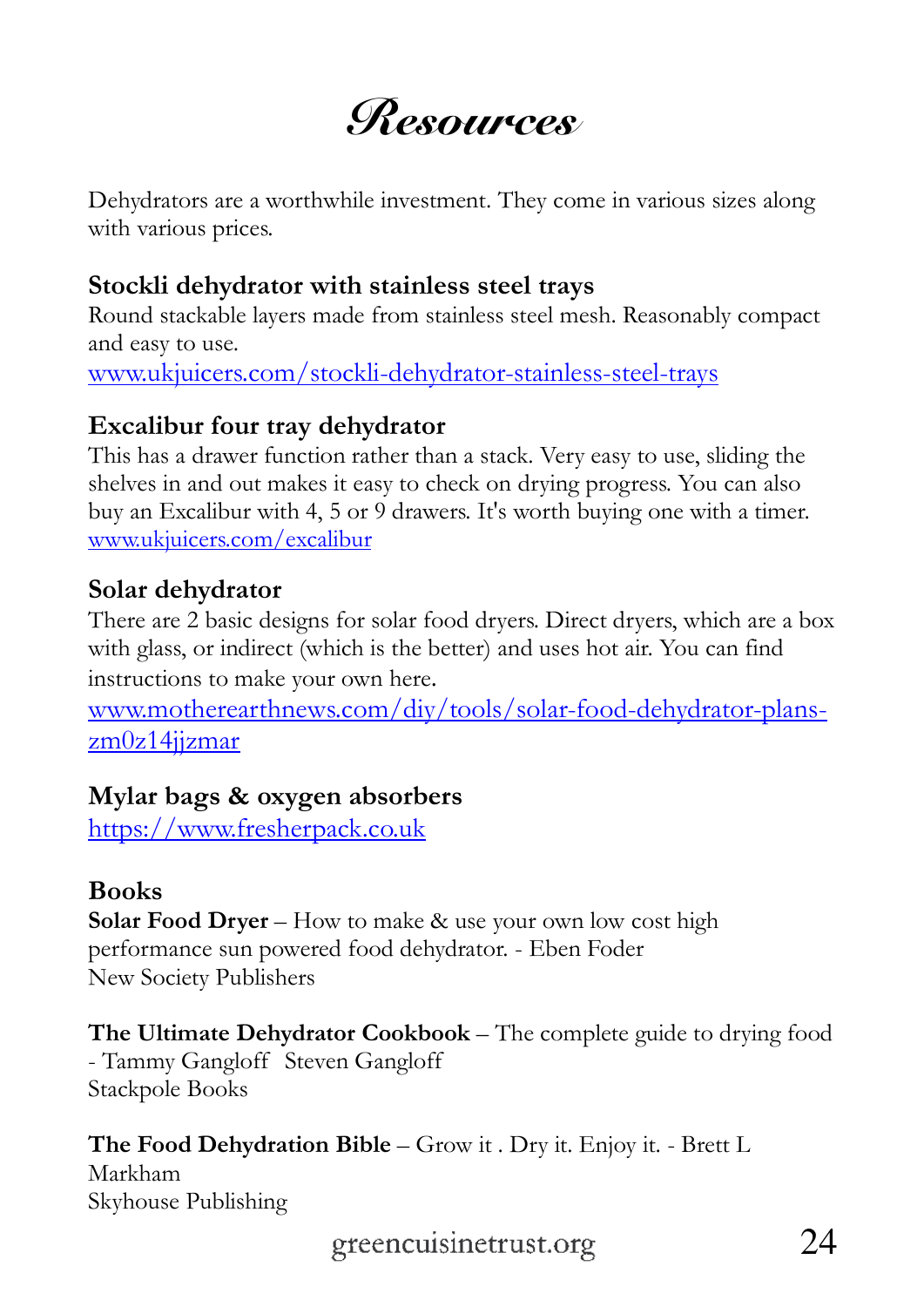## Resources

Dehydrators are a worthwhile investment. They come in various sizes along with various prices.

#### Stockli dehydrator with stainless steel trays

Round stackable layers made from stainless steel mesh. Reasonably compact and easy to use.

www.ukjuicers.com/stockli-dehydrator-stainless-steel-trays

#### Excalibur four tray dehydrator

This has a drawer function rather than a stack. Very easy to use, sliding the shelves in and out makes it easy to check on drying progress. You can also buy an Excalibur with 4, 5 or 9 drawers. It's worth buying one with a timer. www.ukjuicers.com/excalibur

#### Solar dehydrator

There are 2 basic designs for solar food dryers. Direct dryers, which are a box with glass, or indirect (which is the better) and uses hot air. You can find instructions to make your own here.

www.motherearthnews.com/diy/tools/solar-food-dehydrator-planszm0z14jjzmar

#### Mylar bags & oxygen absorbers

https://www.fresherpack.co.uk

#### Books

Solar Food Dryer - How to make & use your own low cost high performance sun powered food dehydrator. - Eben Foder New Society Publishers

The Ultimate Dehydrator Cookbook – The complete guide to drying food - Tammy Gangloff Steven Gangloff Stackpole Books

The Food Dehydration Bible – Grow it . Dry it. Enjoy it. - Brett L Markham Skyhouse Publishing